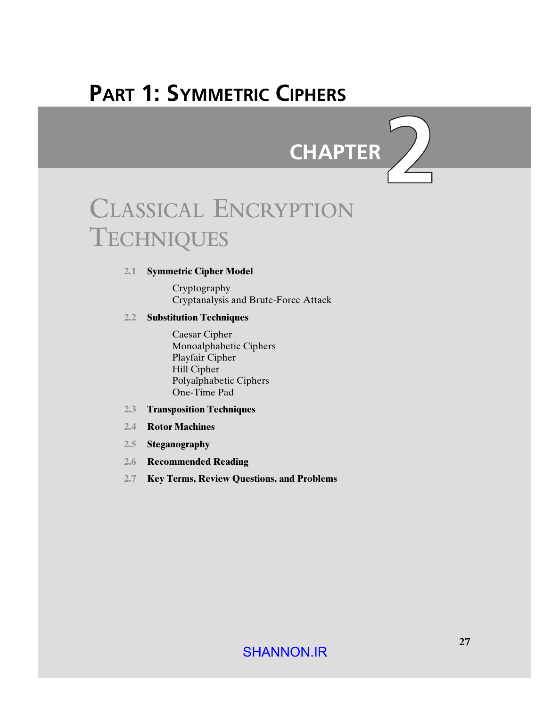# **Part 1: Symmetric Ciphers**



# **Classical Encryption Techniques**

### **2.1 Symmetric Cipher Model**

Cryptography Cryptanalysis and Brute-Force Attack

#### **2.2 Substitution Techniques**

Caesar Cipher Monoalphabetic Ciphers Playfair Cipher Hill Cipher Polyalphabetic Ciphers One-Time Pad

- **2.3 Transposition Techniques**
- **2.4 Rotor Machines**
- **2.5 Steganography**
- **2.6 Recommended Reading**
- **2.7 Key Terms, Review Questions, and Problems**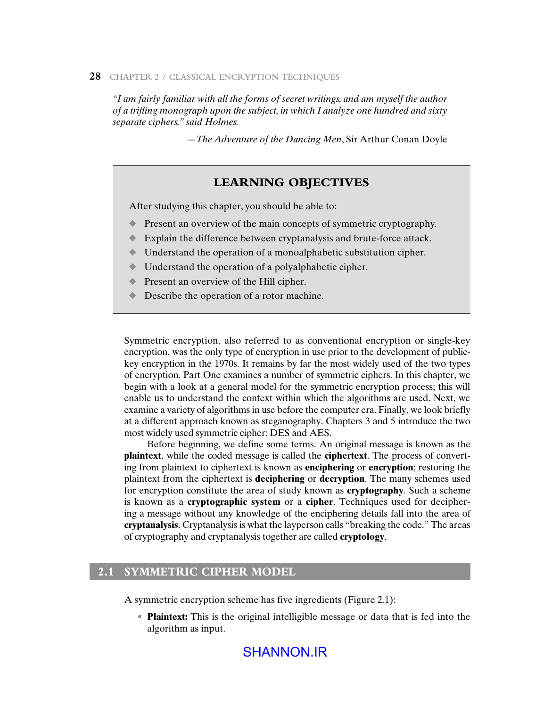*"I am fairly familiar with all the forms of secret writings, and am myself the author of a trifling monograph upon the subject, in which I analyze one hundred and sixty separate ciphers," said Holmes.*

—*The Adventure of the Dancing Men*, Sir Arthur Conan Doyle

### **Learning Objectives**

After studying this chapter, you should be able to:

- Present an overview of the main concepts of symmetric cryptography.
- Explain the difference between cryptanalysis and brute-force attack.
- Understand the operation of a monoalphabetic substitution cipher.
- $\bullet$  Understand the operation of a polyalphabetic cipher.
- $\blacktriangleright$  Present an overview of the Hill cipher.
- Describe the operation of a rotor machine.

Symmetric encryption, also referred to as conventional encryption or single-key encryption, was the only type of encryption in use prior to the development of publickey encryption in the 1970s. It remains by far the most widely used of the two types of encryption. Part One examines a number of symmetric ciphers. In this chapter, we begin with a look at a general model for the symmetric encryption process; this will enable us to understand the context within which the algorithms are used. Next, we examine a variety of algorithms in use before the computer era. Finally, we look briefly at a different approach known as steganography. Chapters 3 and 5 introduce the two most widely used symmetric cipher: DES and AES.

Before beginning, we define some terms. An original message is known as the **plaintext**, while the coded message is called the **ciphertext**. The process of converting from plaintext to ciphertext is known as **enciphering** or **encryption**; restoring the plaintext from the ciphertext is **deciphering** or **decryption**. The many schemes used for encryption constitute the area of study known as **cryptography**. Such a scheme is known as a **cryptographic system** or a **cipher**. Techniques used for deciphering a message without any knowledge of the enciphering details fall into the area of **cryptanalysis**. Cryptanalysis is what the layperson calls "breaking the code." The areas of cryptography and cryptanalysis together are called **cryptology**.

### **2.1 Symmetric Cipher Model**

A symmetric encryption scheme has five ingredients (Figure 2.1):

• **Plaintext:** This is the original intelligible message or data that is fed into the algorithm as input.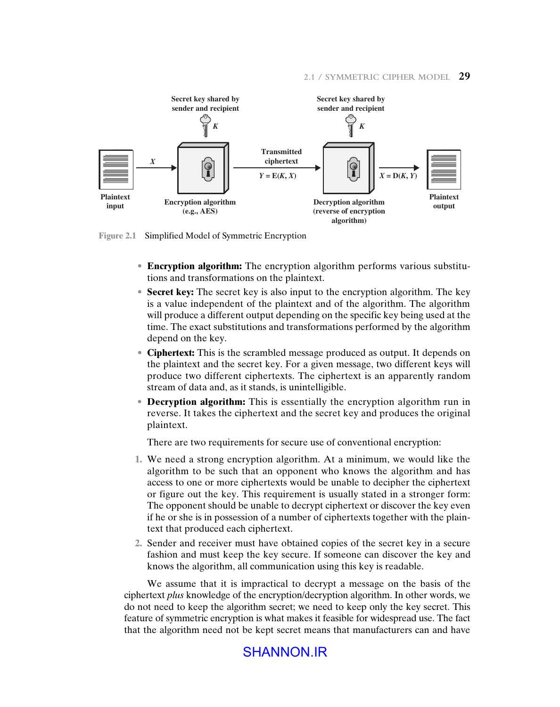

**Figure 2.1** Simplified Model of Symmetric Encryption

- • **Encryption algorithm:** The encryption algorithm performs various substitutions and transformations on the plaintext.
- **Secret key:** The secret key is also input to the encryption algorithm. The key is a value independent of the plaintext and of the algorithm. The algorithm will produce a different output depending on the specific key being used at the time. The exact substitutions and transformations performed by the algorithm depend on the key.
- • **Ciphertext:** This is the scrambled message produced as output. It depends on the plaintext and the secret key. For a given message, two different keys will produce two different ciphertexts. The ciphertext is an apparently random stream of data and, as it stands, is unintelligible.
- **Decryption algorithm:** This is essentially the encryption algorithm run in reverse. It takes the ciphertext and the secret key and produces the original plaintext.

There are two requirements for secure use of conventional encryption:

- **1.** We need a strong encryption algorithm. At a minimum, we would like the algorithm to be such that an opponent who knows the algorithm and has access to one or more ciphertexts would be unable to decipher the ciphertext or figure out the key. This requirement is usually stated in a stronger form: The opponent should be unable to decrypt ciphertext or discover the key even if he or she is in possession of a number of ciphertexts together with the plaintext that produced each ciphertext.
- **2.** Sender and receiver must have obtained copies of the secret key in a secure fashion and must keep the key secure. If someone can discover the key and knows the algorithm, all communication using this key is readable.

We assume that it is impractical to decrypt a message on the basis of the ciphertext *plus* knowledge of the encryption/decryption algorithm. In other words, we do not need to keep the algorithm secret; we need to keep only the key secret. This feature of symmetric encryption is what makes it feasible for widespread use. The fact that the algorithm need not be kept secret means that manufacturers can and have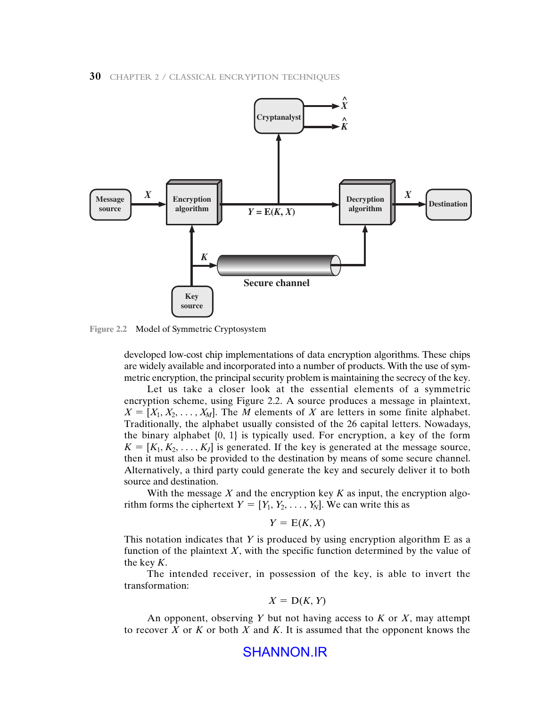

**Figure 2.2** Model of Symmetric Cryptosystem

developed low-cost chip implementations of data encryption algorithms. These chips are widely available and incorporated into a number of products. With the use of symmetric encryption, the principal security problem is maintaining the secrecy of the key.

Let us take a closer look at the essential elements of a symmetric encryption scheme, using Figure 2.2. A source produces a message in plaintext,  $X = [X_1, X_2, \ldots, X_M]$ . The *M* elements of *X* are letters in some finite alphabet. Traditionally, the alphabet usually consisted of the 26 capital letters. Nowadays, the binary alphabet {0, 1} is typically used. For encryption, a key of the form  $K = [K_1, K_2, \ldots, K_l]$  is generated. If the key is generated at the message source, then it must also be provided to the destination by means of some secure channel. Alternatively, a third party could generate the key and securely deliver it to both source and destination.

With the message  $X$  and the encryption key  $K$  as input, the encryption algorithm forms the ciphertext  $Y = [Y_1, Y_2, \ldots, Y_N]$ . We can write this as

$$
Y = E(K, X)
$$

This notation indicates that *Y* is produced by using encryption algorithm E as a function of the plaintext *X*, with the specific function determined by the value of the key *K*.

The intended receiver, in possession of the key, is able to invert the transformation:

$$
X=\mathrm{D}(K,Y)
$$

An opponent, observing *Y* but not having access to *K* or *X*, may attempt to recover *X* or *K* or both *X* and *K*. It is assumed that the opponent knows the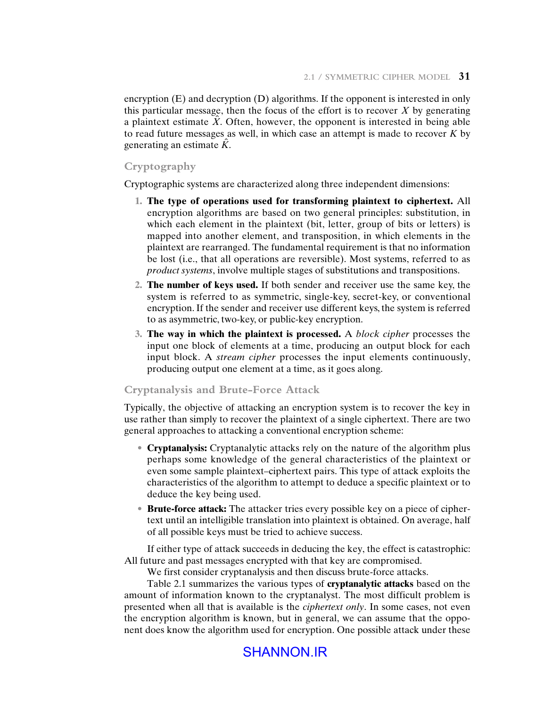encryption  $(E)$  and decryption  $(D)$  algorithms. If the opponent is interested in only this particular message, then the focus of the effort is to recover *X* by generating a plaintext estimate  $\hat{X}$ . Often, however, the opponent is interested in being able to read future messages as well, in which case an attempt is made to recover *K* by generating an estimate  $\hat{K}$ .

### **Cryptography**

Cryptographic systems are characterized along three independent dimensions:

- **1. The type of operations used for transforming plaintext to ciphertext.** All encryption algorithms are based on two general principles: substitution, in which each element in the plaintext (bit, letter, group of bits or letters) is mapped into another element, and transposition, in which elements in the plaintext are rearranged. The fundamental requirement is that no information be lost (i.e., that all operations are reversible). Most systems, referred to as *product systems*, involve multiple stages of substitutions and transpositions.
- **2. The number of keys used.** If both sender and receiver use the same key, the system is referred to as symmetric, single-key, secret-key, or conventional encryption. If the sender and receiver use different keys, the system is referred to as asymmetric, two-key, or public-key encryption.
- **3. The way in which the plaintext is processed.** A *block cipher* processes the input one block of elements at a time, producing an output block for each input block. A *stream cipher* processes the input elements continuously, producing output one element at a time, as it goes along.

### **Cryptanalysis and Brute-Force Attack**

Typically, the objective of attacking an encryption system is to recover the key in use rather than simply to recover the plaintext of a single ciphertext. There are two general approaches to attacking a conventional encryption scheme:

- • **Cryptanalysis:** Cryptanalytic attacks rely on the nature of the algorithm plus perhaps some knowledge of the general characteristics of the plaintext or even some sample plaintext–ciphertext pairs. This type of attack exploits the characteristics of the algorithm to attempt to deduce a specific plaintext or to deduce the key being used.
- **Brute-force attack:** The attacker tries every possible key on a piece of ciphertext until an intelligible translation into plaintext is obtained. On average, half of all possible keys must be tried to achieve success.

If either type of attack succeeds in deducing the key, the effect is catastrophic: All future and past messages encrypted with that key are compromised.

We first consider cryptanalysis and then discuss brute-force attacks.

Table 2.1 summarizes the various types of **cryptanalytic attacks** based on the amount of information known to the cryptanalyst. The most difficult problem is presented when all that is available is the *ciphertext only*. In some cases, not even the encryption algorithm is known, but in general, we can assume that the opponent does know the algorithm used for encryption. One possible attack under these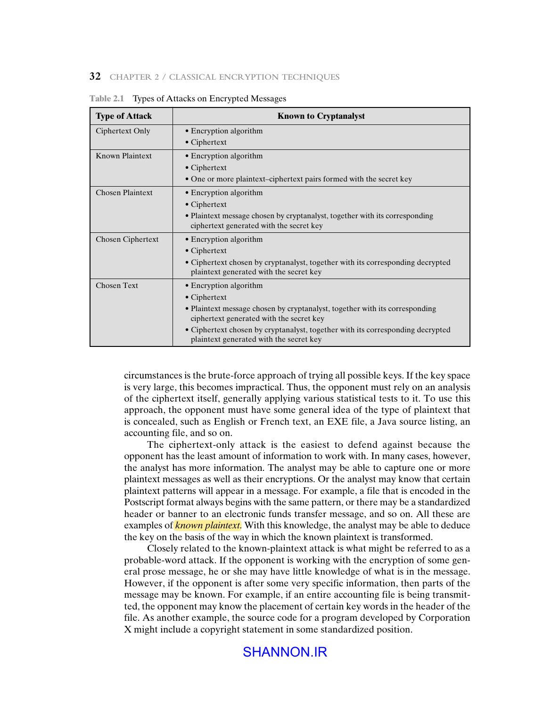| <b>Type of Attack</b>   | <b>Known to Cryptanalyst</b>                                                                                              |
|-------------------------|---------------------------------------------------------------------------------------------------------------------------|
| Ciphertext Only         | • Encryption algorithm                                                                                                    |
|                         | $\bullet$ Ciphertext                                                                                                      |
| Known Plaintext         | • Encryption algorithm                                                                                                    |
|                         | $\bullet$ Ciphertext                                                                                                      |
|                         | • One or more plaintext-ciphertext pairs formed with the secret key                                                       |
| <b>Chosen Plaintext</b> | • Encryption algorithm                                                                                                    |
|                         | $\bullet$ Ciphertext                                                                                                      |
|                         | • Plaintext message chosen by cryptanalyst, together with its corresponding<br>ciphertext generated with the secret key   |
| Chosen Ciphertext       | • Encryption algorithm                                                                                                    |
|                         | $\bullet$ Ciphertext                                                                                                      |
|                         | • Ciphertext chosen by cryptanalyst, together with its corresponding decrypted<br>plaintext generated with the secret key |
| Chosen Text             | • Encryption algorithm                                                                                                    |
|                         | $\bullet$ Ciphertext                                                                                                      |
|                         | • Plaintext message chosen by cryptanalyst, together with its corresponding<br>ciphertext generated with the secret key   |
|                         | • Ciphertext chosen by cryptanalyst, together with its corresponding decrypted<br>plaintext generated with the secret key |

**Table 2.1** Types of Attacks on Encrypted Messages

circumstances is the brute-force approach of trying all possible keys. If the key space is very large, this becomes impractical. Thus, the opponent must rely on an analysis of the ciphertext itself, generally applying various statistical tests to it. To use this approach, the opponent must have some general idea of the type of plaintext that is concealed, such as English or French text, an EXE file, a Java source listing, an accounting file, and so on.

The ciphertext-only attack is the easiest to defend against because the opponent has the least amount of information to work with. In many cases, however, the analyst has more information. The analyst may be able to capture one or more plaintext messages as well as their encryptions. Or the analyst may know that certain plaintext patterns will appear in a message. For example, a file that is encoded in the Postscript format always begins with the same pattern, or there may be a standardized header or banner to an electronic funds transfer message, and so on. All these are examples of *known plaintext*. With this knowledge, the analyst may be able to deduce the key on the basis of the way in which the known plaintext is transformed.

Closely related to the known-plaintext attack is what might be referred to as a probable-word attack. If the opponent is working with the encryption of some general prose message, he or she may have little knowledge of what is in the message. However, if the opponent is after some very specific information, then parts of the message may be known. For example, if an entire accounting file is being transmitted, the opponent may know the placement of certain key words in the header of the file. As another example, the source code for a program developed by Corporation X might include a copyright statement in some standardized position.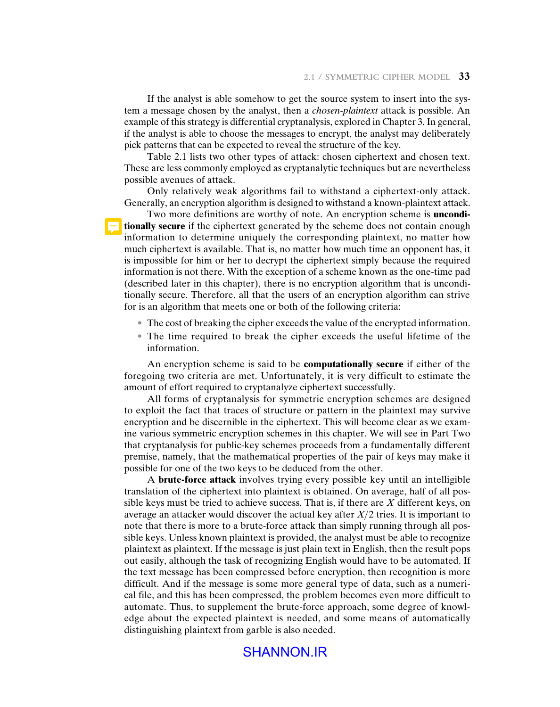If the analyst is able somehow to get the source system to insert into the system a message chosen by the analyst, then a *chosen-plaintext* attack is possible. An example of this strategy is differential cryptanalysis, explored in Chapter 3. In general, if the analyst is able to choose the messages to encrypt, the analyst may deliberately pick patterns that can be expected to reveal the structure of the key.

Table 2.1 lists two other types of attack: chosen ciphertext and chosen text. These are less commonly employed as cryptanalytic techniques but are nevertheless possible avenues of attack.

Only relatively weak algorithms fail to withstand a ciphertext-only attack. Generally, an encryption algorithm is designed to withstand a known-plaintext attack.

Two more definitions are worthy of note. An encryption scheme is **unconditionally secure** if the ciphertext generated by the scheme does not contain enough information to determine uniquely the corresponding plaintext, no matter how much ciphertext is available. That is, no matter how much time an opponent has, it is impossible for him or her to decrypt the ciphertext simply because the required information is not there. With the exception of a scheme known as the one-time pad (described later in this chapter), there is no encryption algorithm that is unconditionally secure. Therefore, all that the users of an encryption algorithm can strive for is an algorithm that meets one or both of the following criteria:

- • The cost of breaking the cipher exceeds the value of the encrypted information.
- The time required to break the cipher exceeds the useful lifetime of the information.

An encryption scheme is said to be **computationally secure** if either of the foregoing two criteria are met. Unfortunately, it is very difficult to estimate the amount of effort required to cryptanalyze ciphertext successfully.

All forms of cryptanalysis for symmetric encryption schemes are designed to exploit the fact that traces of structure or pattern in the plaintext may survive encryption and be discernible in the ciphertext. This will become clear as we examine various symmetric encryption schemes in this chapter. We will see in Part Two that cryptanalysis for public-key schemes proceeds from a fundamentally different premise, namely, that the mathematical properties of the pair of keys may make it possible for one of the two keys to be deduced from the other.

A **brute-force attack** involves trying every possible key until an intelligible translation of the ciphertext into plaintext is obtained. On average, half of all possible keys must be tried to achieve success. That is, if there are *X* different keys, on average an attacker would discover the actual key after  $X/2$  tries. It is important to note that there is more to a brute-force attack than simply running through all possible keys. Unless known plaintext is provided, the analyst must be able to recognize plaintext as plaintext. If the message is just plain text in English, then the result pops out easily, although the task of recognizing English would have to be automated. If the text message has been compressed before encryption, then recognition is more difficult. And if the message is some more general type of data, such as a numerical file, and this has been compressed, the problem becomes even more difficult to automate. Thus, to supplement the brute-force approach, some degree of knowledge about the expected plaintext is needed, and some means of automatically distinguishing plaintext from garble is also needed.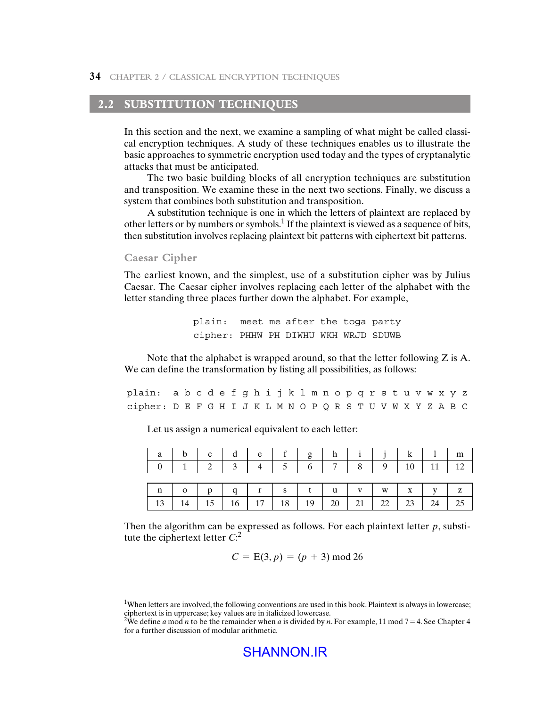### **2.2 Substitution Techniques**

In this section and the next, we examine a sampling of what might be called classical encryption techniques. A study of these techniques enables us to illustrate the basic approaches to symmetric encryption used today and the types of cryptanalytic attacks that must be anticipated.

The two basic building blocks of all encryption techniques are substitution and transposition. We examine these in the next two sections. Finally, we discuss a system that combines both substitution and transposition.

A substitution technique is one in which the letters of plaintext are replaced by other letters or by numbers or symbols.<sup>1</sup> If the plaintext is viewed as a sequence of bits, then substitution involves replacing plaintext bit patterns with ciphertext bit patterns.

#### **Caesar Cipher**

The earliest known, and the simplest, use of a substitution cipher was by Julius Caesar. The Caesar cipher involves replacing each letter of the alphabet with the letter standing three places further down the alphabet. For example,

> plain: meet me after the toga party cipher: PHHW PH DIWHU WKH WRJD SDUWB

Note that the alphabet is wrapped around, so that the letter following  $Z$  is A. We can define the transformation by listing all possibilities, as follows:

plain: a b c d e f g h i j k l m n o p q r s t u v w x y z cipher: d e f g h i j k l m n o p q r s T u v w x y z a b c

|                                                                | a   b   c   d   e   f   g   h   i   j   k   1   m |  |  |  |  |  |                |
|----------------------------------------------------------------|---------------------------------------------------|--|--|--|--|--|----------------|
|                                                                |                                                   |  |  |  |  |  | 7 8 9 10 11 12 |
|                                                                |                                                   |  |  |  |  |  |                |
|                                                                |                                                   |  |  |  |  |  |                |
| 13   14   15   16   17   18   19   20   21   22   23   24   25 |                                                   |  |  |  |  |  |                |

Let us assign a numerical equivalent to each letter:

Then the algorithm can be expressed as follows. For each plaintext letter *p*, substitute the ciphertext letter *C*: 2

$$
C = E(3, p) = (p + 3) \mod 26
$$

<sup>&</sup>lt;sup>1</sup>When letters are involved, the following conventions are used in this book. Plaintext is always in lowercase; ciphertext is in uppercase; key values are in italicized lowercase. 2 We define *a* mod *n* to be the remainder when *a* is divided by *n*. For example, 11 mod 7 = 4. See Chapter 4

for a further discussion of modular arithmetic.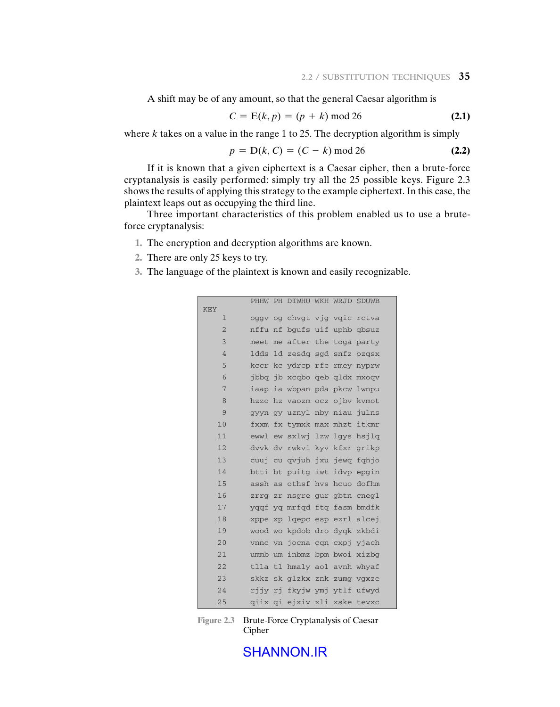A shift may be of any amount, so that the general Caesar algorithm is

$$
C = E(k, p) = (p + k) \mod 26
$$
 (2.1)

where *k* takes on a value in the range 1 to 25. The decryption algorithm is simply

$$
p = D(k, C) = (C - k) \mod 26
$$
 (2.2)

If it is known that a given ciphertext is a Caesar cipher, then a brute-force cryptanalysis is easily performed: simply try all the 25 possible keys. Figure 2.3 shows the results of applying this strategy to the example ciphertext. In this case, the plaintext leaps out as occupying the third line.

Three important characteristics of this problem enabled us to use a bruteforce cryptanalysis:

- **1.** The encryption and decryption algorithms are known.
- **2.** There are only 25 keys to try.
- **3.** The language of the plaintext is known and easily recognizable.

|                |      |    | PHHW PH DIWHU WKH WRJD SDUWB |  |  |
|----------------|------|----|------------------------------|--|--|
| <b>KEY</b>     |      |    |                              |  |  |
| $\mathbf{1}$   |      |    | oggy og chygt vjg vgic retva |  |  |
| $\overline{2}$ |      |    | nffu nf bgufs uif uphb qbsuz |  |  |
| 3              | meet |    | me after the toga party      |  |  |
| 4              |      |    | ldds ld zesdq sgd snfz ozgsx |  |  |
| 5              | kccr |    | kc ydrcp rfc rmey nyprw      |  |  |
| 6              |      |    | jbbg jb xcgbo geb gldx mxogv |  |  |
| 7              |      |    | iaap ia wbpan pda pkcw lwnpu |  |  |
| 8              | hzzo |    | hz vaozm ocz ojby kymot      |  |  |
| 9              |      |    | gyyn gy uznyl nby niau julns |  |  |
| 10             |      |    | fxxm fx tymxk max mhzt itkmr |  |  |
| 11             | ewwl |    | ew sxlwi lzw lgys hsilg      |  |  |
| 12             |      |    | dvyk dy rwkvi kyv kfxr grikp |  |  |
| 13             | cuui |    | cu qvjuh jxu jewq fqhjo      |  |  |
| 14             |      |    | btti bt puitg iwt idvp epgin |  |  |
| 15             |      |    | assh as othsf hys houo dofhm |  |  |
| 16             |      |    | zrrg zr nsgre gur gbtn cnegl |  |  |
| 17             | yggf |    | yg mrfgd ftg fasm bmdfk      |  |  |
| 18             | xppe |    | xp lgepc esp ezrl alcej      |  |  |
| 19             |      |    | wood wo kpdob dro dygk zkbdi |  |  |
| 20             |      |    | vnnc vn jocna cqn cxpj yjach |  |  |
| 21             |      |    | ummb um inbmz bpm bwoi xizbg |  |  |
| 22             | tlla | t1 | hmaly aol avnh whyaf         |  |  |
| 23             | skkz |    | sk glzkx znk zumg vgxze      |  |  |
| 24             |      |    | rjjy rj fkyjw ymj ytlf ufwyd |  |  |
| 25             |      |    | qiix qi ejxiv xli xske tevxc |  |  |

**Figure 2.3** Brute-Force Cryptanalysis of Caesar Cipher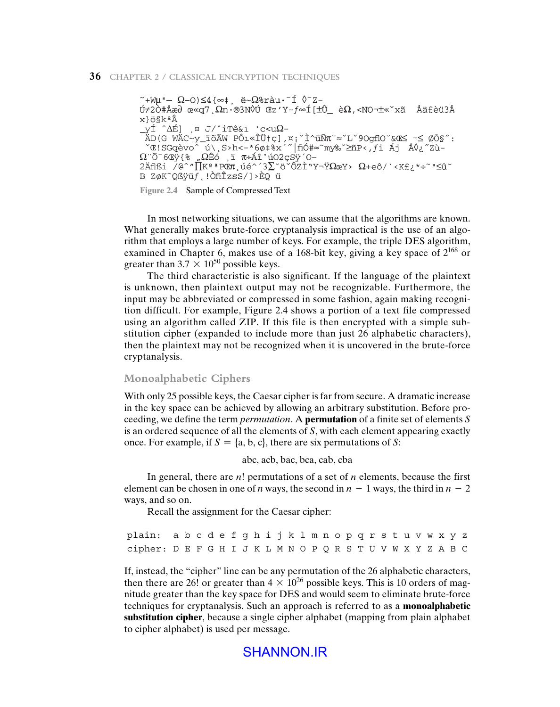```
~+Wu"- \Omega-O) \leq 4 {\infty + \ldots ë \sim \Omega & ràu · \pm \ell \sim Z-
U \neq 20#Åæd œ«q7 \Omega n \cdot 0.3NVÚ Œz'Y-f∞Í[±Û è\Omega,<NO±«`xã Åä£èü3Å
xlöskºÂ
yí ^AÉ] x J/'iTê&1 'c<u\Omega-
Y_1 ΔE, Y_2 11ex1 C<us2-<br>
AD(G WAC-y_iδAW PÔ1«ÎÜtç],¤; I^üÑπ~~ L`9OgflO~&C -< ØÔS":<br>
"Œ!SGqèvo^ ú\,S>h<-*6Φ‡%x´"|fiÓ#≈~my%`≥ñP<,fi Áj Å0¿"Zù-<br>
Ω¨Õ¯6Œÿ{% ,ΩÊó ,ï π÷Áî úO2çSÿ´O-<br>
2Äflßi /@^"[[ΚºªΡŒπ,úé^´3∑~ŏ`ÔΖÌ"Υ¬ŸΩœΥ
B ZøK~Oßÿüf !ÒflÎzsS/]>ÈO ü
```


In most networking situations, we can assume that the algorithms are known. What generally makes brute-force cryptanalysis impractical is the use of an algorithm that employs a large number of keys. For example, the triple DES algorithm, examined in Chapter 6, makes use of a 168-bit key, giving a key space of  $2^{168}$  or greater than  $3.7 \times 10^{50}$  possible keys.

The third characteristic is also significant. If the language of the plaintext is unknown, then plaintext output may not be recognizable. Furthermore, the input may be abbreviated or compressed in some fashion, again making recognition difficult. For example, Figure 2.4 shows a portion of a text file compressed using an algorithm called ZIP. If this file is then encrypted with a simple substitution cipher (expanded to include more than just 26 alphabetic characters), then the plaintext may not be recognized when it is uncovered in the brute-force cryptanalysis.

#### **Monoalphabetic Ciphers**

With only 25 possible keys, the Caesar cipher is far from secure. A dramatic increase in the key space can be achieved by allowing an arbitrary substitution. Before proceeding, we define the term *permutation*. A **permutation** of a finite set of elements *S* is an ordered sequence of all the elements of *S*, with each element appearing exactly once. For example, if  $S = \{a, b, c\}$ , there are six permutations of S:

#### abc, acb, bac, bca, cab, cba

In general, there are *n*! permutations of a set of *n* elements, because the first element can be chosen in one of *n* ways, the second in  $n - 1$  ways, the third in  $n - 2$ ways, and so on.

Recall the assignment for the Caesar cipher:

| plain: a b c d e f g h i j k 1 m n o p q r s t u v w x y z |  |  |  |  |  |  |  |  |  |  |  |  |  |
|------------------------------------------------------------|--|--|--|--|--|--|--|--|--|--|--|--|--|
| cipher: DEFGHIJKLMNOPQRSTUVWXYZABC                         |  |  |  |  |  |  |  |  |  |  |  |  |  |

If, instead, the "cipher" line can be any permutation of the 26 alphabetic characters, then there are 26! or greater than  $4 \times 10^{26}$  possible keys. This is 10 orders of magnitude greater than the key space for DES and would seem to eliminate brute-force techniques for cryptanalysis. Such an approach is referred to as a **monoalphabetic substitution cipher**, because a single cipher alphabet (mapping from plain alphabet to cipher alphabet) is used per message.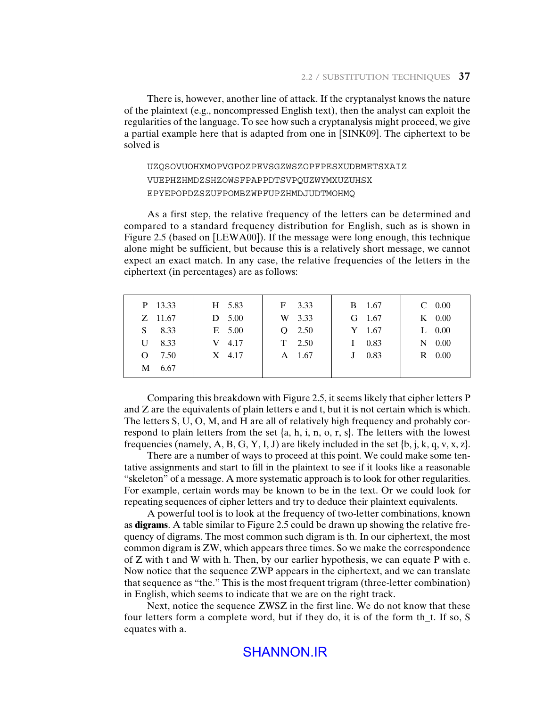There is, however, another line of attack. If the cryptanalyst knows the nature of the plaintext (e.g., noncompressed English text), then the analyst can exploit the regularities of the language. To see how such a cryptanalysis might proceed, we give a partial example here that is adapted from one in [SINK09]. The ciphertext to be solved is

UZQSOVUOHXMOPVGPOZPEVSGZWSZOPFPESXUDBMETSXAIZ VUEPHZHMDZSHZOWSFPAPPDTSVPQUZWYMXUZUHSX EPYEPOPDZSZUFPOMBZWPFUPZHMDJUDTMOHMQ

As a first step, the relative frequency of the letters can be determined and compared to a standard frequency distribution for English, such as is shown in Figure 2.5 (based on [LEWA00]). If the message were long enough, this technique alone might be sufficient, but because this is a relatively short message, we cannot expect an exact match. In any case, the relative frequencies of the letters in the ciphertext (in percentages) are as follows:

| P 13.33        | H 5.83     | $F = 3.33$ | <b>B</b> 1.67  | $C$ 0.00       |
|----------------|------------|------------|----------------|----------------|
| Z 11.67        | $D = 5.00$ | W 3.33     | $G \quad 1.67$ | $K$ 0.00       |
| $S = 8.33$     | E 5.00     | $Q$ 2.50   | $Y = 1.67$     | $L \quad 0.00$ |
| $U = 8.33$     | $V$ 4.17   | $T = 2.50$ | $I = 0.83$     | $N = 0.00$     |
| $O \quad 7.50$ | $X$ 4.17   | A 1.67     | $J \quad 0.83$ | $R$ 0.00       |
| M 6.67         |            |            |                |                |

Comparing this breakdown with Figure 2.5, it seems likely that cipher letters P and Z are the equivalents of plain letters e and t, but it is not certain which is which. The letters S, U, O, M, and H are all of relatively high frequency and probably correspond to plain letters from the set {a, h, i, n, o, r, s}. The letters with the lowest frequencies (namely, A, B, G, Y, I, J) are likely included in the set  $\{b, j, k, q, v, x, z\}$ .

There are a number of ways to proceed at this point. We could make some tentative assignments and start to fill in the plaintext to see if it looks like a reasonable "skeleton" of a message. A more systematic approach is to look for other regularities. For example, certain words may be known to be in the text. Or we could look for repeating sequences of cipher letters and try to deduce their plaintext equivalents.

A powerful tool is to look at the frequency of two-letter combinations, known as **digrams**. A table similar to Figure 2.5 could be drawn up showing the relative frequency of digrams. The most common such digram is th. In our ciphertext, the most common digram is ZW, which appears three times. So we make the correspondence of Z with t and W with h. Then, by our earlier hypothesis, we can equate P with e. Now notice that the sequence ZWP appears in the ciphertext, and we can translate that sequence as "the." This is the most frequent trigram (three-letter combination) in English, which seems to indicate that we are on the right track.

Next, notice the sequence ZWSZ in the first line. We do not know that these four letters form a complete word, but if they do, it is of the form th\_t. If so, S equates with a.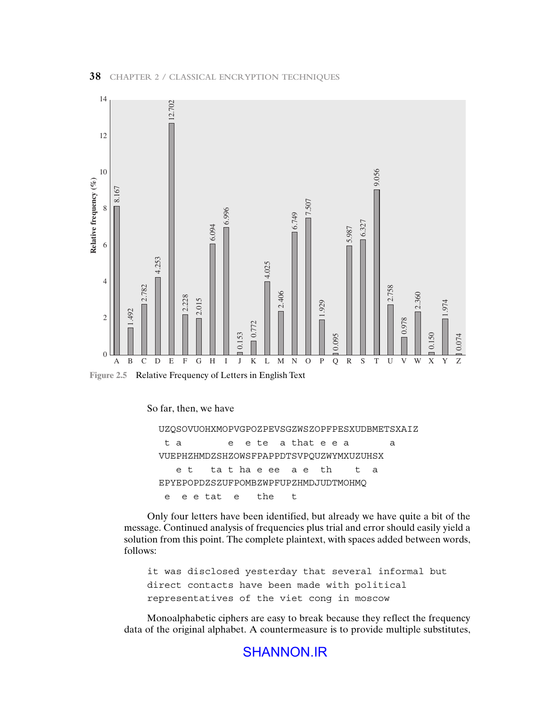

So far, then, we have

UZQSOVUOHXMOPVGPOZPEVSGZWSZOPFPESXUDBMETSXAIZ t a e e te a that e e a a VUEPHZHMDZSHZOWSFPAPPDTSVPQUZWYMXUZUHSX e t ta t ha e ee a e th t a EPYEPOPDZSZUFPOMBZWPFUPZHMDJUDTMOHMQ e e e tat e the t

Only four letters have been identified, but already we have quite a bit of the message. Continued analysis of frequencies plus trial and error should easily yield a solution from this point. The complete plaintext, with spaces added between words, follows:

it was disclosed yesterday that several informal but direct contacts have been made with political representatives of the viet cong in moscow

Monoalphabetic ciphers are easy to break because they reflect the frequency data of the original alphabet. A countermeasure is to provide multiple substitutes,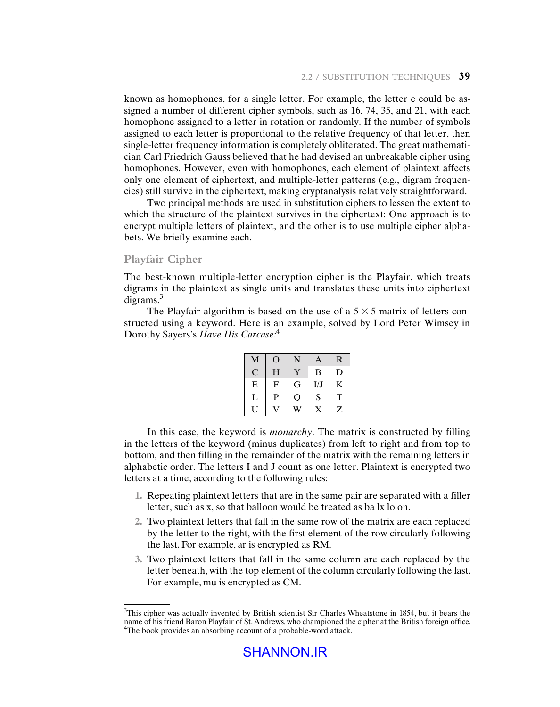known as homophones, for a single letter. For example, the letter e could be assigned a number of different cipher symbols, such as 16, 74, 35, and 21, with each homophone assigned to a letter in rotation or randomly. If the number of symbols assigned to each letter is proportional to the relative frequency of that letter, then single-letter frequency information is completely obliterated. The great mathematician Carl Friedrich Gauss believed that he had devised an unbreakable cipher using homophones. However, even with homophones, each element of plaintext affects only one element of ciphertext, and multiple-letter patterns (e.g., digram frequencies) still survive in the ciphertext, making cryptanalysis relatively straightforward.

Two principal methods are used in substitution ciphers to lessen the extent to which the structure of the plaintext survives in the ciphertext: One approach is to encrypt multiple letters of plaintext, and the other is to use multiple cipher alphabets. We briefly examine each.

#### **Playfair Cipher**

The best-known multiple-letter encryption cipher is the Playfair, which treats digrams in the plaintext as single units and translates these units into ciphertext digrams.3

The Playfair algorithm is based on the use of a  $5 \times 5$  matrix of letters constructed using a keyword. Here is an example, solved by Lord Peter Wimsey in Dorothy Sayers's *Have His Carcase:*<sup>4</sup>

| M            | Ω           | N  | Α                | $\mathbb{R}$ |
|--------------|-------------|----|------------------|--------------|
| $\mathbf C$  | H           | Ø  | B                | D            |
| E            | $\mathbf F$ | G  | I/J              | $\bf K$      |
| L            | P           | 0  | S                | T            |
| $\mathbf{U}$ |             | W) | $\boldsymbol{X}$ | Z            |

In this case, the keyword is *monarchy*. The matrix is constructed by filling in the letters of the keyword (minus duplicates) from left to right and from top to bottom, and then filling in the remainder of the matrix with the remaining letters in alphabetic order. The letters I and J count as one letter. Plaintext is encrypted two letters at a time, according to the following rules:

- **1.** Repeating plaintext letters that are in the same pair are separated with a filler letter, such as x, so that balloon would be treated as ba lx lo on.
- **2.** Two plaintext letters that fall in the same row of the matrix are each replaced by the letter to the right, with the first element of the row circularly following the last. For example, ar is encrypted as RM.
- **3.** Two plaintext letters that fall in the same column are each replaced by the letter beneath, with the top element of the column circularly following the last. For example, mu is encrypted as CM.

<sup>&</sup>lt;sup>3</sup>This cipher was actually invented by British scientist Sir Charles Wheatstone in 1854, but it bears the name of his friend Baron Playfair of St. Andrews, who championed the cipher at the British foreign office. 4 The book provides an absorbing account of a probable-word attack.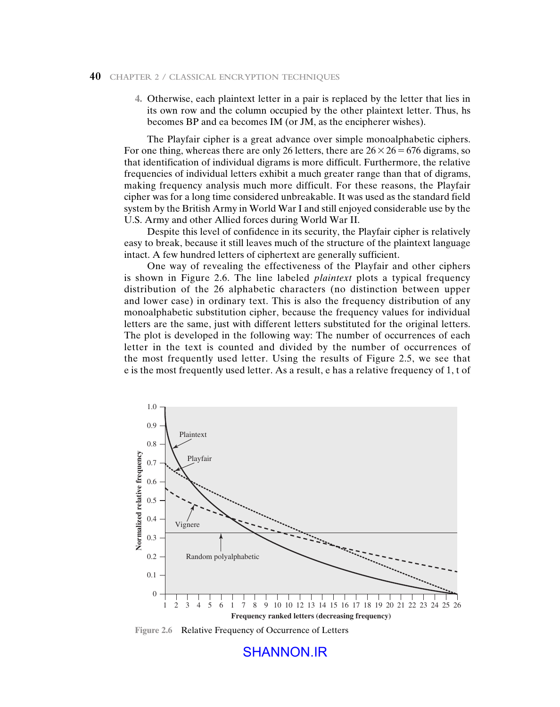**4.** Otherwise, each plaintext letter in a pair is replaced by the letter that lies in its own row and the column occupied by the other plaintext letter. Thus, hs becomes BP and ea becomes IM (or JM, as the encipherer wishes).

The Playfair cipher is a great advance over simple monoalphabetic ciphers. For one thing, whereas there are only 26 letters, there are  $26 \times 26 = 676$  digrams, so that identification of individual digrams is more difficult. Furthermore, the relative frequencies of individual letters exhibit a much greater range than that of digrams, making frequency analysis much more difficult. For these reasons, the Playfair cipher was for a long time considered unbreakable. It was used as the standard field system by the British Army in World War I and still enjoyed considerable use by the U.S. Army and other Allied forces during World War II.

Despite this level of confidence in its security, the Playfair cipher is relatively easy to break, because it still leaves much of the structure of the plaintext language intact. A few hundred letters of ciphertext are generally sufficient.

One way of revealing the effectiveness of the Playfair and other ciphers is shown in Figure 2.6. The line labeled *plaintext* plots a typical frequency distribution of the 26 alphabetic characters (no distinction between upper and lower case) in ordinary text. This is also the frequency distribution of any monoalphabetic substitution cipher, because the frequency values for individual letters are the same, just with different letters substituted for the original letters. The plot is developed in the following way: The number of occurrences of each letter in the text is counted and divided by the number of occurrences of the most frequently used letter. Using the results of Figure 2.5, we see that e is the most frequently used letter. As a result, e has a relative frequency of 1, t of



**Figure 2.6** Relative Frequency of Occurrence of Letters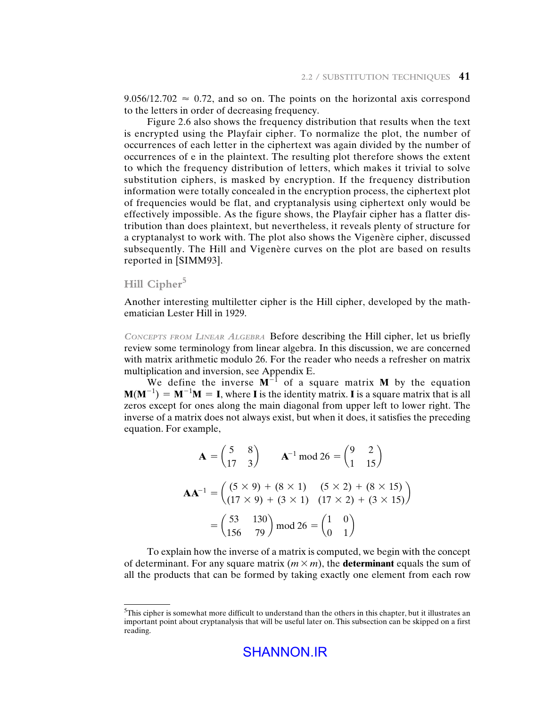$9.056/12.702 \approx 0.72$ , and so on. The points on the horizontal axis correspond to the letters in order of decreasing frequency.

Figure 2.6 also shows the frequency distribution that results when the text is encrypted using the Playfair cipher. To normalize the plot, the number of occurrences of each letter in the ciphertext was again divided by the number of occurrences of e in the plaintext. The resulting plot therefore shows the extent to which the frequency distribution of letters, which makes it trivial to solve substitution ciphers, is masked by encryption. If the frequency distribution information were totally concealed in the encryption process, the ciphertext plot of frequencies would be flat, and cryptanalysis using ciphertext only would be effectively impossible. As the figure shows, the Playfair cipher has a flatter distribution than does plaintext, but nevertheless, it reveals plenty of structure for a cryptanalyst to work with. The plot also shows the Vigenère cipher, discussed subsequently. The Hill and Vigenère curves on the plot are based on results reported in [SIMM93].

### Hill Cipher<sup>5</sup>

Another interesting multiletter cipher is the Hill cipher, developed by the mathematician Lester Hill in 1929.

*Concepts from Linear Algebra* Before describing the Hill cipher, let us briefly review some terminology from linear algebra. In this discussion, we are concerned with matrix arithmetic modulo 26. For the reader who needs a refresher on matrix multiplication and inversion, see Appendix E.

We define the inverse  $M^{-1}$  of a square matrix M by the equation  $M(M^{-1}) = M^{-1}M = I$ , where **I** is the identity matrix. **I** is a square matrix that is all zeros except for ones along the main diagonal from upper left to lower right. The inverse of a matrix does not always exist, but when it does, it satisfies the preceding equation. For example,

$$
\mathbf{A} = \begin{pmatrix} 5 & 8 \\ 17 & 3 \end{pmatrix} \qquad \mathbf{A}^{-1} \mod 26 = \begin{pmatrix} 9 & 2 \\ 1 & 15 \end{pmatrix}
$$

$$
\mathbf{A} \mathbf{A}^{-1} = \begin{pmatrix} (5 \times 9) + (8 \times 1) & (5 \times 2) + (8 \times 15) \\ (17 \times 9) + (3 \times 1) & (17 \times 2) + (3 \times 15) \end{pmatrix}
$$

$$
= \begin{pmatrix} 53 & 130 \\ 156 & 79 \end{pmatrix} \mod 26 = \begin{pmatrix} 1 & 0 \\ 0 & 1 \end{pmatrix}
$$

To explain how the inverse of a matrix is computed, we begin with the concept of determinant. For any square matrix  $(m \times m)$ , the **determinant** equals the sum of all the products that can be formed by taking exactly one element from each row

 $5$ This cipher is somewhat more difficult to understand than the others in this chapter, but it illustrates an important point about cryptanalysis that will be useful later on. This subsection can be skipped on a first reading.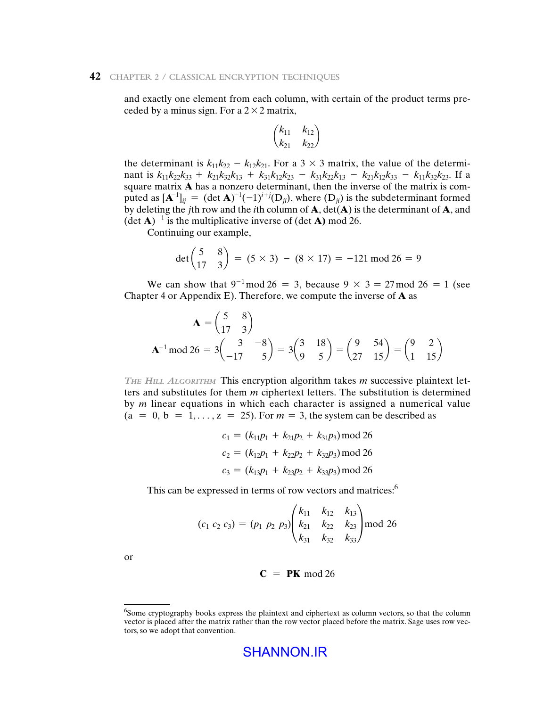and exactly one element from each column, with certain of the product terms preceded by a minus sign. For a  $2 \times 2$  matrix,

$$
\begin{pmatrix} k_{11} & k_{12} \\ k_{21} & k_{22} \end{pmatrix}
$$

the determinant is  $k_{11}k_{22} - k_{12}k_{21}$ . For a 3  $\times$  3 matrix, the value of the determinant is  $k_{11}k_{22}k_{33} + k_{21}k_{32}k_{13} + k_{31}k_{12}k_{23} - k_{31}k_{22}k_{13} - k_{21}k_{12}k_{33} - k_{11}k_{32}k_{23}$ . If a square matrix **A** has a nonzero determinant, then the inverse of the matrix is computed as  $[\mathbf{A}^{-1}]_{ij} = (\det \mathbf{A})^{-1}(-1)^{i+j}(\mathbf{D}_{ji})$ , where  $(\mathbf{D}_{ji})$  is the subdeterminant formed by deleting the *j*th row and the *i*th column of **A**, det(**A**) is the determinant of **A**, and  $(\det A)^{-1}$  is the multiplicative inverse of  $(\det A)$  mod 26.

Continuing our example,

$$
\det\begin{pmatrix} 5 & 8 \\ 17 & 3 \end{pmatrix} = (5 \times 3) - (8 \times 17) = -121 \mod 26 = 9
$$

We can show that  $9^{-1}$  mod  $26 = 3$ , because  $9 \times 3 = 27$  mod  $26 = 1$  (see Chapter 4 or Appendix E). Therefore, we compute the inverse of **A** as

$$
\mathbf{A} = \begin{pmatrix} 5 & 8 \\ 17 & 3 \end{pmatrix}
$$

$$
\mathbf{A}^{-1} \mod 26 = 3 \begin{pmatrix} 3 & -8 \\ -17 & 5 \end{pmatrix} = 3 \begin{pmatrix} 3 & 18 \\ 9 & 5 \end{pmatrix} = \begin{pmatrix} 9 & 54 \\ 27 & 15 \end{pmatrix} = \begin{pmatrix} 9 & 2 \\ 1 & 15 \end{pmatrix}
$$

*The Hill Algorithm* This encryption algorithm takes *m* successive plaintext letters and substitutes for them *m* ciphertext letters. The substitution is determined by *m* linear equations in which each character is assigned a numerical value  $(a = 0, b = 1,..., z = 25)$ . For  $m = 3$ , the system can be described as

$$
c_1 = (k_{11}p_1 + k_{21}p_2 + k_{31}p_3) \text{ mod } 26
$$
  
\n
$$
c_2 = (k_{12}p_1 + k_{22}p_2 + k_{32}p_3) \text{ mod } 26
$$
  
\n
$$
c_3 = (k_{13}p_1 + k_{23}p_2 + k_{33}p_3) \text{ mod } 26
$$

This can be expressed in terms of row vectors and matrices:<sup>6</sup>

$$
(c_1 \ c_2 \ c_3) = (p_1 \ p_2 \ p_3) \begin{pmatrix} k_{11} & k_{12} & k_{13} \\ k_{21} & k_{22} & k_{23} \\ k_{31} & k_{32} & k_{33} \end{pmatrix} \bmod 26
$$

or

$$
C = PK \text{ mod } 26
$$

<sup>6</sup> Some cryptography books express the plaintext and ciphertext as column vectors, so that the column vector is placed after the matrix rather than the row vector placed before the matrix. Sage uses row vectors, so we adopt that convention.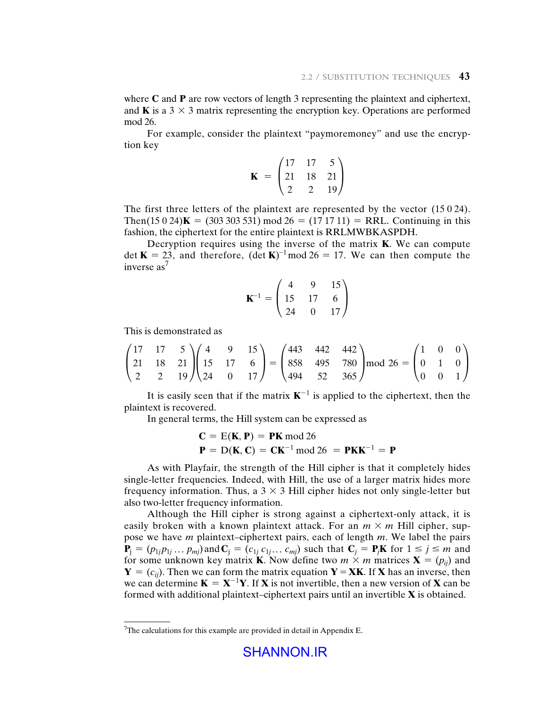where **C** and **P** are row vectors of length 3 representing the plaintext and ciphertext, and **K** is a  $3 \times 3$  matrix representing the encryption key. Operations are performed mod 26.

For example, consider the plaintext "paymoremoney" and use the encryption key

$$
\mathbf{K} = \begin{pmatrix} 17 & 17 & 5 \\ 21 & 18 & 21 \\ 2 & 2 & 19 \end{pmatrix}
$$

The first three letters of the plaintext are represented by the vector  $(15024)$ . Then(15 0 24) $\mathbf{K} = (303\,303\,531) \text{ mod } 26 = (17\,17\,11) = \text{RRL}$ . Continuing in this fashion, the ciphertext for the entire plaintext is RRLMWBKASPDH.

Decryption requires using the inverse of the matrix **K**. We can compute det  $K = 23$ , and therefore,  $(\det K)^{-1}$  mod  $26 = 17$ . We can then compute the inverse as7

$$
\mathbf{K}^{-1} = \begin{pmatrix} 4 & 9 & 15 \\ 15 & 17 & 6 \\ 24 & 0 & 17 \end{pmatrix}
$$

This is demonstrated as

$$
\begin{pmatrix} 17 & 17 & 5 \ 21 & 18 & 21 \ 2 & 2 & 19 \end{pmatrix} \begin{pmatrix} 4 & 9 & 15 \ 15 & 17 & 6 \ 24 & 0 & 17 \end{pmatrix} = \begin{pmatrix} 443 & 442 & 442 \ 858 & 495 & 780 \ 494 & 52 & 365 \end{pmatrix} \text{mod } 26 = \begin{pmatrix} 1 & 0 & 0 \ 0 & 1 & 0 \ 0 & 0 & 1 \end{pmatrix}
$$

It is easily seen that if the matrix  $K^{-1}$  is applied to the ciphertext, then the plaintext is recovered.

In general terms, the Hill system can be expressed as

$$
C = E(K, P) = PK \mod{26}
$$
  

$$
P = D(K, C) = CK^{-1} \mod{26} = PKK^{-1} = P
$$

As with Playfair, the strength of the Hill cipher is that it completely hides single-letter frequencies. Indeed, with Hill, the use of a larger matrix hides more frequency information. Thus, a  $3 \times 3$  Hill cipher hides not only single-letter but also two-letter frequency information.

Although the Hill cipher is strong against a ciphertext-only attack, it is easily broken with a known plaintext attack. For an  $m \times m$  Hill cipher, suppose we have *m* plaintext–ciphertext pairs, each of length *m*. We label the pairs  $\mathbf{P}_j = (p_{1j}p_{1j} \dots p_{mj})$  and  $\mathbf{C}_j = (c_{1j}c_{1j} \dots c_{mj})$  such that  $\mathbf{C}_j = \mathbf{P}_j\mathbf{K}$  for  $1 \le j \le m$  and for some unknown key matrix **K**. Now define two  $m \times m$  matrices  $\mathbf{X} = (p_{ij})$  and  $Y = (c_{ii})$ . Then we can form the matrix equation  $Y = XK$ . If X has an inverse, then we can determine  $\mathbf{K} = \mathbf{X}^{-1} \mathbf{Y}$ . If **X** is not invertible, then a new version of **X** can be formed with additional plaintext–ciphertext pairs until an invertible **X** is obtained.

 $7$ The calculations for this example are provided in detail in Appendix E.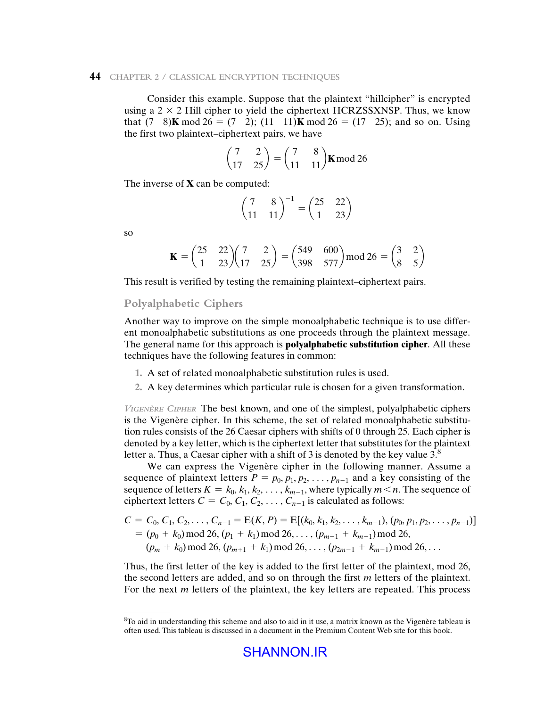Consider this example. Suppose that the plaintext "hillcipher" is encrypted using a  $2 \times 2$  Hill cipher to yield the ciphertext HCRZSSXNSP. Thus, we know that (7 8)**K** mod 26 = (7 2); (11 11)**K** mod 26 = (17 25); and so on. Using the first two plaintext–ciphertext pairs, we have

$$
\begin{pmatrix} 7 & 2 \ 17 & 25 \end{pmatrix} = \begin{pmatrix} 7 & 8 \ 11 & 11 \end{pmatrix}
$$
 **K** mod 26

The inverse of **X** can be computed:

$$
\begin{pmatrix} 7 & 8 \\ 11 & 11 \end{pmatrix}^{-1} = \begin{pmatrix} 25 & 22 \\ 1 & 23 \end{pmatrix}
$$

so

$$
\mathbf{K} = \begin{pmatrix} 25 & 22 \\ 1 & 23 \end{pmatrix} \begin{pmatrix} 7 & 2 \\ 17 & 25 \end{pmatrix} = \begin{pmatrix} 549 & 600 \\ 398 & 577 \end{pmatrix} \text{mod } 26 = \begin{pmatrix} 3 & 2 \\ 8 & 5 \end{pmatrix}
$$

This result is verified by testing the remaining plaintext–ciphertext pairs.

#### **Polyalphabetic Ciphers**

Another way to improve on the simple monoalphabetic technique is to use different monoalphabetic substitutions as one proceeds through the plaintext message. The general name for this approach is **polyalphabetic substitution cipher**. All these techniques have the following features in common:

- **1.** A set of related monoalphabetic substitution rules is used.
- **2.** A key determines which particular rule is chosen for a given transformation.

*Vigenère Cipher* The best known, and one of the simplest, polyalphabetic ciphers is the Vigenère cipher. In this scheme, the set of related monoalphabetic substitution rules consists of the 26 Caesar ciphers with shifts of 0 through 25. Each cipher is denoted by a key letter, which is the ciphertext letter that substitutes for the plaintext letter a. Thus, a Caesar cipher with a shift of 3 is denoted by the key value  $3<sup>8</sup>$ 

We can express the Vigenère cipher in the following manner. Assume a sequence of plaintext letters  $P = p_0, p_1, p_2, \ldots, p_{n-1}$  and a key consisting of the sequence of letters  $K = k_0, k_1, k_2, \ldots, k_{m-1}$ , where typically  $m < n$ . The sequence of ciphertext letters  $C = C_0, C_1, C_2, \ldots, C_{n-1}$  is calculated as follows:

$$
C = C_0, C_1, C_2, \dots, C_{n-1} = E(K, P) = E[(k_0, k_1, k_2, \dots, k_{m-1}), (p_0, p_1, p_2, \dots, p_{n-1})]
$$
  
=  $(p_0 + k_0) \text{ mod } 26, (p_1 + k_1) \text{ mod } 26, \dots, (p_{m-1} + k_{m-1}) \text{ mod } 26,$   
 $(p_m + k_0) \text{ mod } 26, (p_{m+1} + k_1) \text{ mod } 26, \dots, (p_{2m-1} + k_{m-1}) \text{ mod } 26, \dots$ 

Thus, the first letter of the key is added to the first letter of the plaintext, mod 26, the second letters are added, and so on through the first *m* letters of the plaintext. For the next *m* letters of the plaintext, the key letters are repeated. This process

 ${}^{8}$ To aid in understanding this scheme and also to aid in it use, a matrix known as the Vigenère tableau is often used. This tableau is discussed in a document in the Premium Content Web site for this book.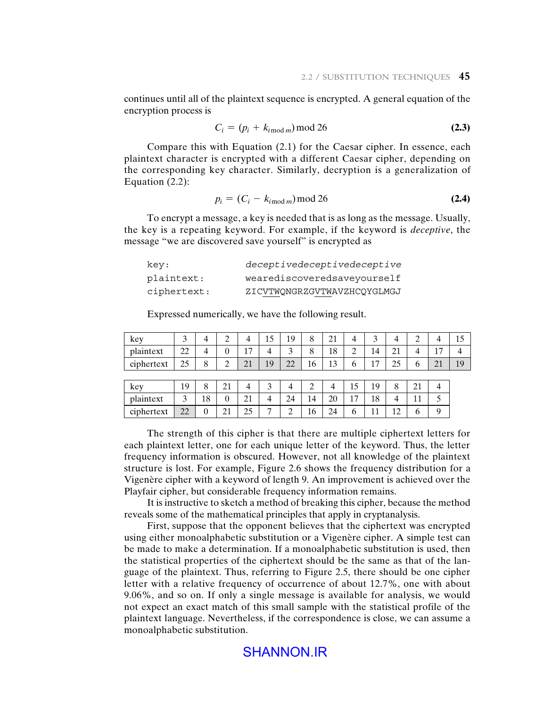continues until all of the plaintext sequence is encrypted. A general equation of the encryption process is

$$
C_i = (p_i + k_{i \bmod m}) \bmod 26
$$
 (2.3)

Compare this with Equation (2.1) for the Caesar cipher. In essence, each plaintext character is encrypted with a different Caesar cipher, depending on the corresponding key character. Similarly, decryption is a generalization of Equation (2.2):

$$
p_i = (C_i - k_{i \bmod m}) \bmod 26 \tag{2.4}
$$

To encrypt a message, a key is needed that is as long as the message. Usually, the key is a repeating keyword. For example, if the keyword is *deceptive*, the message "we are discovered save yourself" is encrypted as

| key:        | deceptivedeceptivedeceptive |
|-------------|-----------------------------|
| plaintext:  | wearediscoveredsaveyourself |
| ciphertext: | ZICVTWONGRZGVTWAVZHCOYGLMGJ |

Expressed numerically, we have the following result.

| key        | ັ            |   | ∸      |                      | IJ | 19                  | $\circ$<br>Õ | $\sim$<br>∠⊥        |   | ⌒<br>◡               |                   | - |                          | ⊥J |
|------------|--------------|---|--------|----------------------|----|---------------------|--------------|---------------------|---|----------------------|-------------------|---|--------------------------|----|
| plaintext  | $\sim$<br>∠∠ |   |        | 1 <sub>7</sub><br>ı  |    | $\overline{ }$<br>ັ | $\Omega$     | 18                  | ↩ | 14                   | $\mathbf{A}$<br>↵ |   | $\overline{ }$           |    |
| ciphertext | nε<br>ر_     | O | ⌒<br>∸ | 21<br>$\overline{a}$ | 19 | $\mathcal{L}$<br>∠∠ | 16           | 1 <sub>2</sub><br>∸ | O | 1 <sub>7</sub><br>÷. | nε<br>ر ے         | O | $\overline{\phantom{a}}$ |    |
|            |              |   |        |                      |    |                     |              |                     |   |                      |                   |   |                          |    |

| key        | 19             | O        | ∠⊥ |                      | ັ |    | -  |              | ∸ | $\Omega$<br><b>.</b> | О | <u>_</u> |  |
|------------|----------------|----------|----|----------------------|---|----|----|--------------|---|----------------------|---|----------|--|
| plaintext  | ັ              | 10<br>10 |    | $\overline{a}$       |   | ∠− | 14 | $\sim$<br>∠∪ | - | $\Omega$<br>10       |   | . .      |  |
| ciphertext | $\Omega$<br>∠∠ | υ        | ∠⊥ | $\sim$ $\sim$<br>ل ک |   | -  | ΙV | $\sim$<br>24 |   |                      | ∸ |          |  |

The strength of this cipher is that there are multiple ciphertext letters for each plaintext letter, one for each unique letter of the keyword. Thus, the letter frequency information is obscured. However, not all knowledge of the plaintext structure is lost. For example, Figure 2.6 shows the frequency distribution for a Vigenère cipher with a keyword of length 9. An improvement is achieved over the Playfair cipher, but considerable frequency information remains.

It is instructive to sketch a method of breaking this cipher, because the method reveals some of the mathematical principles that apply in cryptanalysis.

First, suppose that the opponent believes that the ciphertext was encrypted using either monoalphabetic substitution or a Vigenère cipher. A simple test can be made to make a determination. If a monoalphabetic substitution is used, then the statistical properties of the ciphertext should be the same as that of the language of the plaintext. Thus, referring to Figure 2.5, there should be one cipher letter with a relative frequency of occurrence of about 12.7%, one with about 9.06%, and so on. If only a single message is available for analysis, we would not expect an exact match of this small sample with the statistical profile of the plaintext language. Nevertheless, if the correspondence is close, we can assume a monoalphabetic substitution.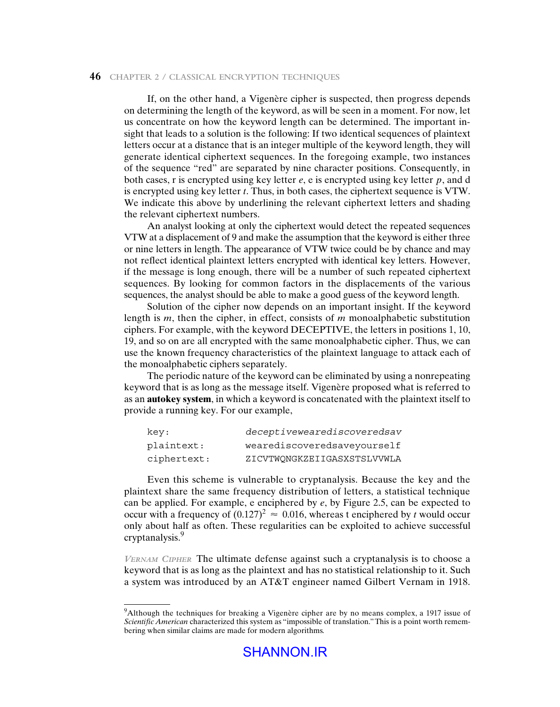If, on the other hand, a Vigenère cipher is suspected, then progress depends on determining the length of the keyword, as will be seen in a moment. For now, let us concentrate on how the keyword length can be determined. The important insight that leads to a solution is the following: If two identical sequences of plaintext letters occur at a distance that is an integer multiple of the keyword length, they will generate identical ciphertext sequences. In the foregoing example, two instances of the sequence "red" are separated by nine character positions. Consequently, in both cases, r is encrypted using key letter *e*, e is encrypted using key letter *p*, and d is encrypted using key letter *t*. Thus, in both cases, the ciphertext sequence is VTW. We indicate this above by underlining the relevant ciphertext letters and shading the relevant ciphertext numbers.

An analyst looking at only the ciphertext would detect the repeated sequences VTW at a displacement of 9 and make the assumption that the keyword is either three or nine letters in length. The appearance of VTW twice could be by chance and may not reflect identical plaintext letters encrypted with identical key letters. However, if the message is long enough, there will be a number of such repeated ciphertext sequences. By looking for common factors in the displacements of the various sequences, the analyst should be able to make a good guess of the keyword length.

Solution of the cipher now depends on an important insight. If the keyword length is *m*, then the cipher, in effect, consists of *m* monoalphabetic substitution ciphers. For example, with the keyword DECEPTIVE, the letters in positions 1, 10, 19, and so on are all encrypted with the same monoalphabetic cipher. Thus, we can use the known frequency characteristics of the plaintext language to attack each of the monoalphabetic ciphers separately.

The periodic nature of the keyword can be eliminated by using a nonrepeating keyword that is as long as the message itself. Vigenère proposed what is referred to as an **autokey system**, in which a keyword is concatenated with the plaintext itself to provide a running key. For our example,

| key:        | deceptivewearediscoveredsav |
|-------------|-----------------------------|
| plaintext:  | wearediscoveredsaveyourself |
| ciphertext: | ZICVTWONGKZEIIGASXSTSLVVWLA |

Even this scheme is vulnerable to cryptanalysis. Because the key and the plaintext share the same frequency distribution of letters, a statistical technique can be applied. For example, e enciphered by *e*, by Figure 2.5, can be expected to occur with a frequency of  $(0.127)^2 \approx 0.016$ , whereas t enciphered by *t* would occur only about half as often. These regularities can be exploited to achieve successful cryptanalysis.9

*Vernam Cipher* The ultimate defense against such a cryptanalysis is to choose a keyword that is as long as the plaintext and has no statistical relationship to it. Such a system was introduced by an AT&T engineer named Gilbert Vernam in 1918.

<sup>&</sup>lt;sup>9</sup>Although the techniques for breaking a Vigenère cipher are by no means complex, a 1917 issue of *Scientific American* characterized this system as "impossible of translation." This is a point worth remembering when similar claims are made for modern algorithms.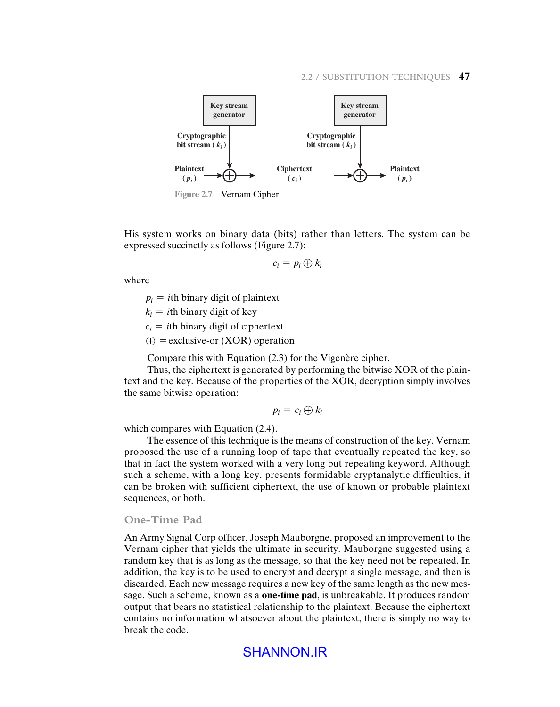

**Figure 2.7** Vernam Cipher

His system works on binary data (bits) rather than letters. The system can be expressed succinctly as follows (Figure 2.7):

$$
c_i=p_i\oplus k_i
$$

where

 $p_i = i$ th binary digit of plaintext

 $k_i = i$ th binary digit of key

 $c_i = i$ th binary digit of ciphertext

 $\textcircled{+}$  = exclusive-or (XOR) operation

Compare this with Equation (2.3) for the Vigenère cipher.

Thus, the ciphertext is generated by performing the bitwise XOR of the plaintext and the key. Because of the properties of the XOR, decryption simply involves the same bitwise operation:

$$
p_i = c_i \oplus k_i
$$

which compares with Equation  $(2.4)$ .

The essence of this technique is the means of construction of the key. Vernam proposed the use of a running loop of tape that eventually repeated the key, so that in fact the system worked with a very long but repeating keyword. Although such a scheme, with a long key, presents formidable cryptanalytic difficulties, it can be broken with sufficient ciphertext, the use of known or probable plaintext sequences, or both.

**One-Time Pad**

An Army Signal Corp officer, Joseph Mauborgne, proposed an improvement to the Vernam cipher that yields the ultimate in security. Mauborgne suggested using a random key that is as long as the message, so that the key need not be repeated. In addition, the key is to be used to encrypt and decrypt a single message, and then is discarded. Each new message requires a new key of the same length as the new message. Such a scheme, known as a **one-time pad**, is unbreakable. It produces random output that bears no statistical relationship to the plaintext. Because the ciphertext contains no information whatsoever about the plaintext, there is simply no way to break the code.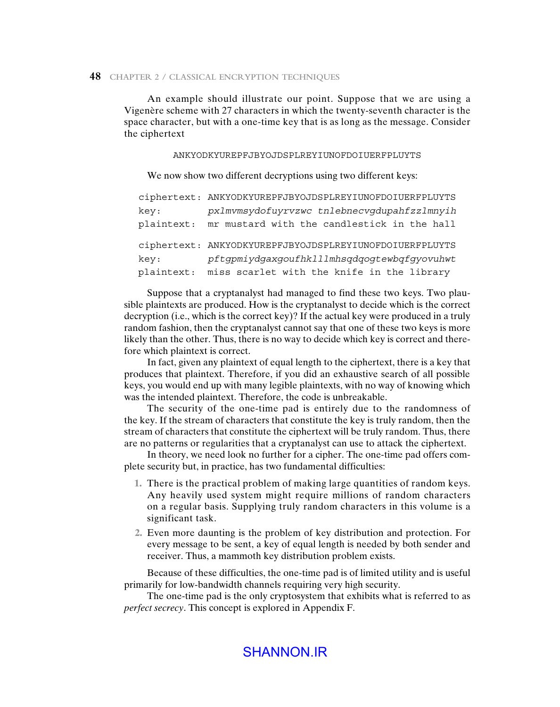An example should illustrate our point. Suppose that we are using a Vigenère scheme with 27 characters in which the twenty-seventh character is the space character, but with a one-time key that is as long as the message. Consider the ciphertext

ANKYODKYUREPFJBYOJDSPLREYIUNOFDOIUERFPLUYTS

We now show two different decryptions using two different keys:

|            | ciphertext: ANKYODKYUREPFJBYOJDSPLREYIUNOFDOIUERFPLUYTS |
|------------|---------------------------------------------------------|
| key:       | pxlmvmsydofuyrvzwc tnlebnecvgdupahfzzlmnyih             |
|            | plaintext: mr mustard with the candlestick in the hall  |
|            | ciphertext: ANKYODKYUREPFJBYOJDSPLREYIUNOFDOIUERFPLUYTS |
| key:       | pftqpmiydqaxqoufhklllmhsqdqoqtewbqfqyovuhwt             |
| plaintext: | miss scarlet with the knife in the library              |

Suppose that a cryptanalyst had managed to find these two keys. Two plausible plaintexts are produced. How is the cryptanalyst to decide which is the correct decryption (i.e., which is the correct key)? If the actual key were produced in a truly random fashion, then the cryptanalyst cannot say that one of these two keys is more likely than the other. Thus, there is no way to decide which key is correct and therefore which plaintext is correct.

In fact, given any plaintext of equal length to the ciphertext, there is a key that produces that plaintext. Therefore, if you did an exhaustive search of all possible keys, you would end up with many legible plaintexts, with no way of knowing which was the intended plaintext. Therefore, the code is unbreakable.

The security of the one-time pad is entirely due to the randomness of the key. If the stream of characters that constitute the key is truly random, then the stream of characters that constitute the ciphertext will be truly random. Thus, there are no patterns or regularities that a cryptanalyst can use to attack the ciphertext.

In theory, we need look no further for a cipher. The one-time pad offers complete security but, in practice, has two fundamental difficulties:

- **1.** There is the practical problem of making large quantities of random keys. Any heavily used system might require millions of random characters on a regular basis. Supplying truly random characters in this volume is a significant task.
- **2.** Even more daunting is the problem of key distribution and protection. For every message to be sent, a key of equal length is needed by both sender and receiver. Thus, a mammoth key distribution problem exists.

Because of these difficulties, the one-time pad is of limited utility and is useful primarily for low-bandwidth channels requiring very high security.

The one-time pad is the only cryptosystem that exhibits what is referred to as *perfect secrecy*. This concept is explored in Appendix F.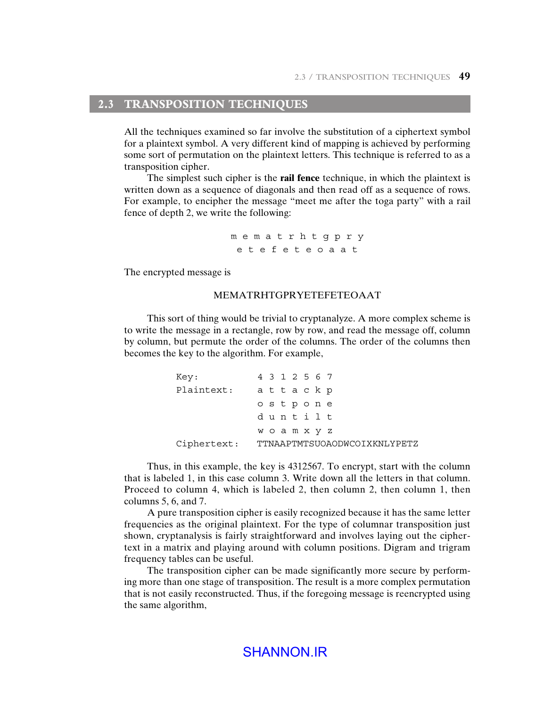### **2.3 Transposition Techniques**

All the techniques examined so far involve the substitution of a ciphertext symbol for a plaintext symbol. A very different kind of mapping is achieved by performing some sort of permutation on the plaintext letters. This technique is referred to as a transposition cipher.

The simplest such cipher is the **rail fence** technique, in which the plaintext is written down as a sequence of diagonals and then read off as a sequence of rows. For example, to encipher the message "meet me after the toga party" with a rail fence of depth 2, we write the following:

$$
\begin{array}{ll} \texttt{memattribute} \\ \texttt{etefeteoaat} \end{array}
$$

The encrypted message is

#### MEMATRHTGPRYETEFETEOAAT

This sort of thing would be trivial to cryptanalyze. A more complex scheme is to write the message in a rectangle, row by row, and read the message off, column by column, but permute the order of the columns. The order of the columns then becomes the key to the algorithm. For example,

| Key:        | 4 3 1 2 5 6 7 |  |  |                              |
|-------------|---------------|--|--|------------------------------|
| Plaintext:  | attackp       |  |  |                              |
|             | ostpone       |  |  |                              |
|             | duntilt       |  |  |                              |
|             | w o a m x y z |  |  |                              |
| Ciphertext: |               |  |  | TTNAAPTMTSUOAODWCOIXKNLYPETZ |

Thus, in this example, the key is 4312567. To encrypt, start with the column that is labeled 1, in this case column 3. Write down all the letters in that column. Proceed to column 4, which is labeled 2, then column 2, then column 1, then columns 5, 6, and 7.

A pure transposition cipher is easily recognized because it has the same letter frequencies as the original plaintext. For the type of columnar transposition just shown, cryptanalysis is fairly straightforward and involves laying out the ciphertext in a matrix and playing around with column positions. Digram and trigram frequency tables can be useful.

The transposition cipher can be made significantly more secure by performing more than one stage of transposition. The result is a more complex permutation that is not easily reconstructed. Thus, if the foregoing message is reencrypted using the same algorithm,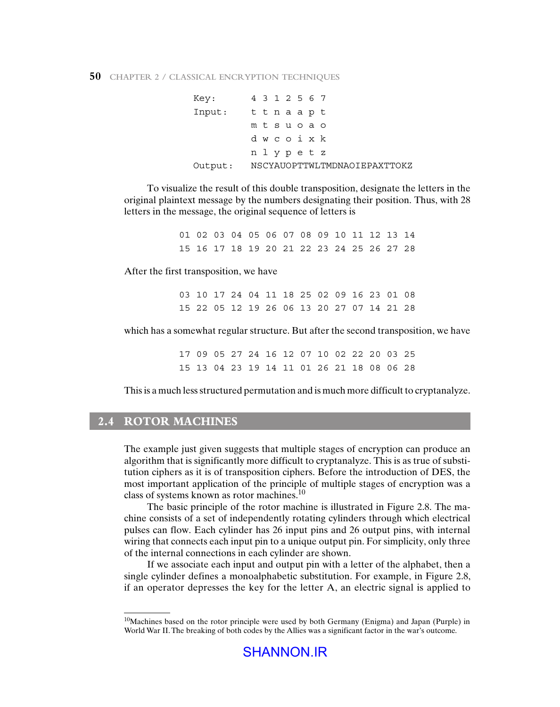```
Key: 4 3 1 2 5 6 7
Input: t t n a a p t
          m t s u o a o
          d w c o i x k
          n l y p e t z
Output: NSCYAUOPTTWLTMDNAOIEPAXTTOKZ
```
To visualize the result of this double transposition, designate the letters in the original plaintext message by the numbers designating their position. Thus, with 28 letters in the message, the original sequence of letters is

> 01 02 03 04 05 06 07 08 09 10 11 12 13 14 15 16 17 18 19 20 21 22 23 24 25 26 27 28

After the first transposition, we have

03 10 17 24 04 11 18 25 02 09 16 23 01 08 15 22 05 12 19 26 06 13 20 27 07 14 21 28

which has a somewhat regular structure. But after the second transposition, we have

17 09 05 27 24 16 12 07 10 02 22 20 03 25 15 13 04 23 19 14 11 01 26 21 18 08 06 28

This is a much less structured permutation and is much more difficult to cryptanalyze.

### **2.4 Rotor Machines**

The example just given suggests that multiple stages of encryption can produce an algorithm that is significantly more difficult to cryptanalyze. This is as true of substitution ciphers as it is of transposition ciphers. Before the introduction of DES, the most important application of the principle of multiple stages of encryption was a class of systems known as rotor machines.<sup>10</sup>

The basic principle of the rotor machine is illustrated in Figure 2.8. The machine consists of a set of independently rotating cylinders through which electrical pulses can flow. Each cylinder has 26 input pins and 26 output pins, with internal wiring that connects each input pin to a unique output pin. For simplicity, only three of the internal connections in each cylinder are shown.

If we associate each input and output pin with a letter of the alphabet, then a single cylinder defines a monoalphabetic substitution. For example, in Figure 2.8, if an operator depresses the key for the letter A, an electric signal is applied to

<sup>&</sup>lt;sup>10</sup>Machines based on the rotor principle were used by both Germany (Enigma) and Japan (Purple) in World War II. The breaking of both codes by the Allies was a significant factor in the war's outcome.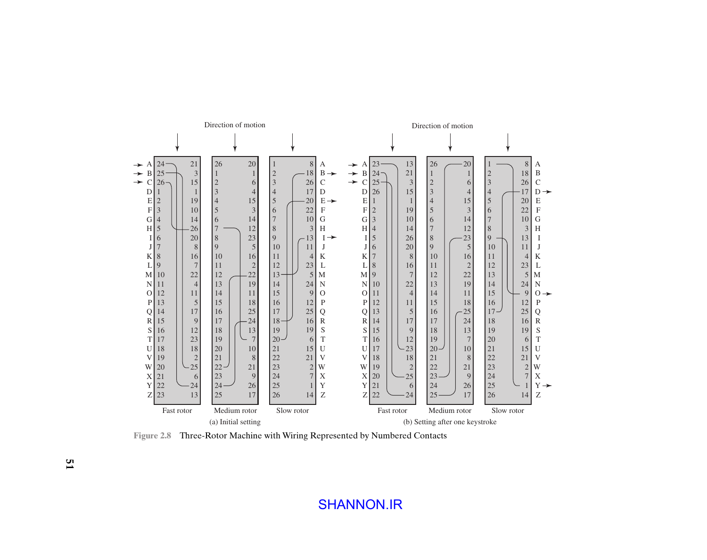

**Figure 2.8** Three-Rotor Machine with Wiring Represented by Numbered Contacts

###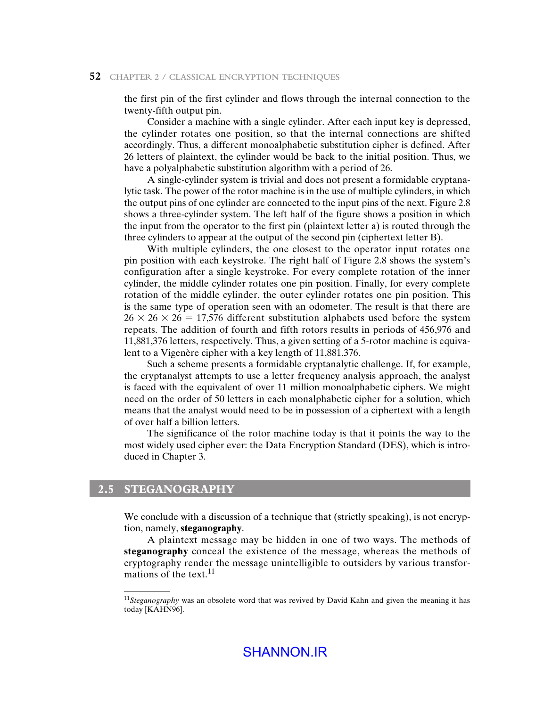the first pin of the first cylinder and flows through the internal connection to the twenty-fifth output pin.

Consider a machine with a single cylinder. After each input key is depressed, the cylinder rotates one position, so that the internal connections are shifted accordingly. Thus, a different monoalphabetic substitution cipher is defined. After 26 letters of plaintext, the cylinder would be back to the initial position. Thus, we have a polyalphabetic substitution algorithm with a period of 26.

A single-cylinder system is trivial and does not present a formidable cryptanalytic task. The power of the rotor machine is in the use of multiple cylinders, in which the output pins of one cylinder are connected to the input pins of the next. Figure 2.8 shows a three-cylinder system. The left half of the figure shows a position in which the input from the operator to the first pin (plaintext letter a) is routed through the three cylinders to appear at the output of the second pin (ciphertext letter B).

With multiple cylinders, the one closest to the operator input rotates one pin position with each keystroke. The right half of Figure 2.8 shows the system's configuration after a single keystroke. For every complete rotation of the inner cylinder, the middle cylinder rotates one pin position. Finally, for every complete rotation of the middle cylinder, the outer cylinder rotates one pin position. This is the same type of operation seen with an odometer. The result is that there are  $26 \times 26 \times 26 = 17,576$  different substitution alphabets used before the system repeats. The addition of fourth and fifth rotors results in periods of 456,976 and 11,881,376 letters, respectively. Thus, a given setting of a 5-rotor machine is equivalent to a Vigenère cipher with a key length of 11,881,376.

Such a scheme presents a formidable cryptanalytic challenge. If, for example, the cryptanalyst attempts to use a letter frequency analysis approach, the analyst is faced with the equivalent of over 11 million monoalphabetic ciphers. We might need on the order of 50 letters in each monalphabetic cipher for a solution, which means that the analyst would need to be in possession of a ciphertext with a length of over half a billion letters.

The significance of the rotor machine today is that it points the way to the most widely used cipher ever: the Data Encryption Standard (DES), which is introduced in Chapter 3.

### **2.5 Steganography**

We conclude with a discussion of a technique that (strictly speaking), is not encryption, namely, **steganography**.

A plaintext message may be hidden in one of two ways. The methods of **steganography** conceal the existence of the message, whereas the methods of cryptography render the message unintelligible to outsiders by various transformations of the text. $^{11}$ 

<sup>&</sup>lt;sup>11</sup>Steganography was an obsolete word that was revived by David Kahn and given the meaning it has today [KAHN96].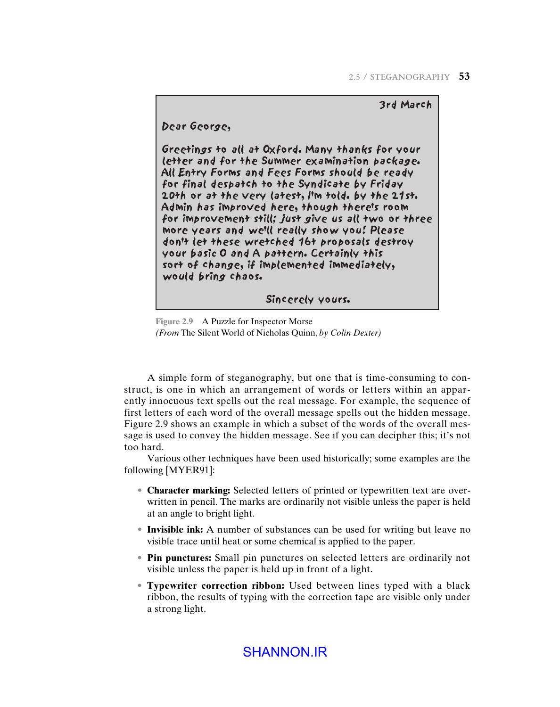3rd March

### Dear George,

Greetings to all at Oxford. Many thanks for your letter and for the Summer examination backage. All Entry Forms and Fees Forms should be ready for final despatch to the Syndicate by Friday 20th or at the very latest, I'm told. by the 21st. Admin has improved here, though there's room for improvement still; just give us all two or three more years and we'll really show you! Please don't let these wretched 16t proposals destroy your basic O and A pattern. Certainly this sort of change, if implemented immediately, would bring chaos.

#### Sincerely yours.

**Figure 2.9** A Puzzle for Inspector Morse *(From* The Silent World of Nicholas Quinn, *by Colin Dexter)*

A simple form of steganography, but one that is time-consuming to construct, is one in which an arrangement of words or letters within an apparently innocuous text spells out the real message. For example, the sequence of first letters of each word of the overall message spells out the hidden message. Figure 2.9 shows an example in which a subset of the words of the overall message is used to convey the hidden message. See if you can decipher this; it's not too hard.

Various other techniques have been used historically; some examples are the following [MYER91]:

- **Character marking:** Selected letters of printed or typewritten text are overwritten in pencil. The marks are ordinarily not visible unless the paper is held at an angle to bright light.
- **Invisible ink:** A number of substances can be used for writing but leave no visible trace until heat or some chemical is applied to the paper.
- **Pin punctures:** Small pin punctures on selected letters are ordinarily not visible unless the paper is held up in front of a light.
- • **Typewriter correction ribbon:** Used between lines typed with a black ribbon, the results of typing with the correction tape are visible only under a strong light.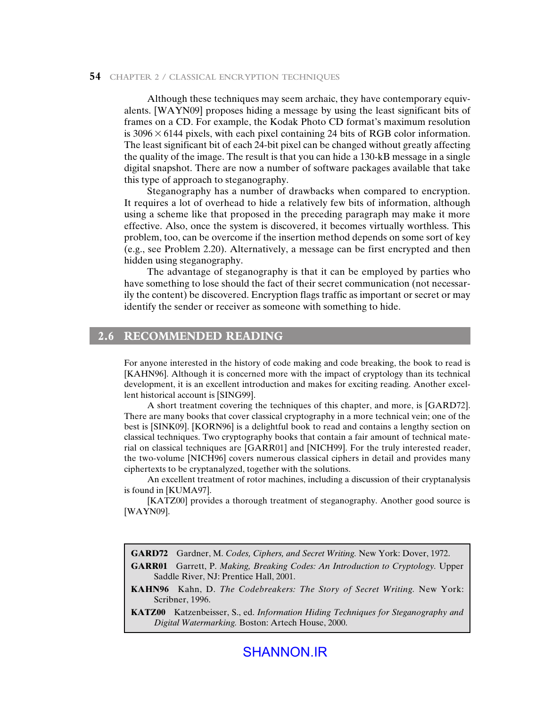Although these techniques may seem archaic, they have contemporary equivalents. [WAYN09] proposes hiding a message by using the least significant bits of frames on a CD. For example, the Kodak Photo CD format's maximum resolution is  $3096 \times 6144$  pixels, with each pixel containing 24 bits of RGB color information. The least significant bit of each 24-bit pixel can be changed without greatly affecting the quality of the image. The result is that you can hide a 130-kB message in a single digital snapshot. There are now a number of software packages available that take this type of approach to steganography.

Steganography has a number of drawbacks when compared to encryption. It requires a lot of overhead to hide a relatively few bits of information, although using a scheme like that proposed in the preceding paragraph may make it more effective. Also, once the system is discovered, it becomes virtually worthless. This problem, too, can be overcome if the insertion method depends on some sort of key (e.g., see Problem 2.20). Alternatively, a message can be first encrypted and then hidden using steganography.

The advantage of steganography is that it can be employed by parties who have something to lose should the fact of their secret communication (not necessarily the content) be discovered. Encryption flags traffic as important or secret or may identify the sender or receiver as someone with something to hide.

### **2.6 Recommended Reading**

For anyone interested in the history of code making and code breaking, the book to read is [KAHN96]. Although it is concerned more with the impact of cryptology than its technical development, it is an excellent introduction and makes for exciting reading. Another excellent historical account is [SING99].

A short treatment covering the techniques of this chapter, and more, is [GARD72]. There are many books that cover classical cryptography in a more technical vein; one of the best is [SINK09]. [KORN96] is a delightful book to read and contains a lengthy section on classical techniques. Two cryptography books that contain a fair amount of technical material on classical techniques are [GARR01] and [NICH99]. For the truly interested reader, the two-volume [NICH96] covers numerous classical ciphers in detail and provides many ciphertexts to be cryptanalyzed, together with the solutions.

An excellent treatment of rotor machines, including a discussion of their cryptanalysis is found in [KUMA97].

[KATZ00] provides a thorough treatment of steganography. Another good source is [WAYN09].

**GARD72** Gardner, M. *Codes, Ciphers, and Secret Writing.* New York: Dover, 1972.

- **GARR01** Garrett, P. *Making, Breaking Codes: An Introduction to Cryptology.* Upper Saddle River, NJ: Prentice Hall, 2001.
- **KAHN96** Kahn, D. *The Codebreakers: The Story of Secret Writing.* New York: Scribner, 1996.

**KATZ00** Katzenbeisser, S., ed. *Information Hiding Techniques for Steganography and Digital Watermarking.* Boston: Artech House, 2000.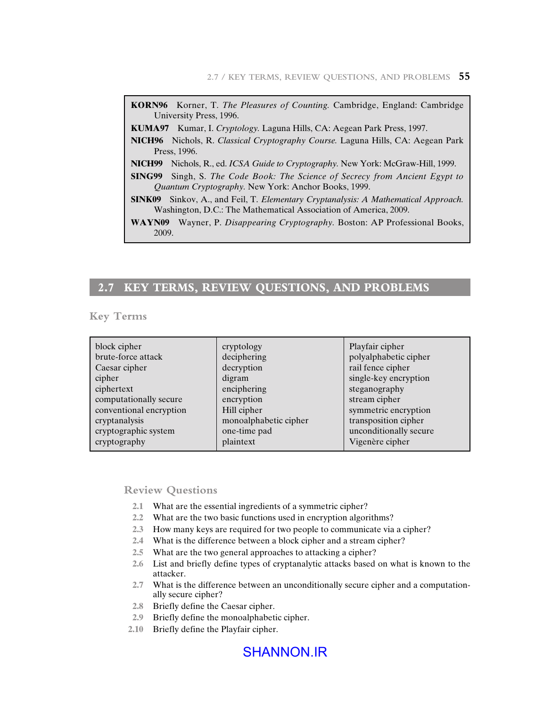- **KORN96** Korner, T. *The Pleasures of Counting.* Cambridge, England: Cambridge University Press, 1996.
- **KUMA97** Kumar, I. *Cryptology.* Laguna Hills, CA: Aegean Park Press, 1997.
- **NICH96** Nichols, R. *Classical Cryptography Course.* Laguna Hills, CA: Aegean Park Press, 1996.
- **NICH99** Nichols, R., ed. *ICSA Guide to Cryptography.* New York: McGraw-Hill, 1999.
- **SING99** Singh, S. *The Code Book: The Science of Secrecy from Ancient Egypt to Quantum Cryptography.* New York: Anchor Books, 1999.
- **SINK09** Sinkov, A., and Feil, T. *Elementary Cryptanalysis: A Mathematical Approach.* Washington, D.C.: The Mathematical Association of America, 2009.
- **WAYN09** Wayner, P. *Disappearing Cryptography.* Boston: AP Professional Books, 2009.

#### **2.7 Key Terms, Review Questions, And Problems**

**Key Terms**

| block cipher            | cryptology            | Playfair cipher        |  |
|-------------------------|-----------------------|------------------------|--|
| brute-force attack      | deciphering           | polyalphabetic cipher  |  |
| Caesar cipher           | decryption            | rail fence cipher      |  |
| cipher                  | digram                | single-key encryption  |  |
| ciphertext              | enciphering           | steganography          |  |
| computationally secure  | encryption            | stream cipher          |  |
| conventional encryption | Hill cipher           | symmetric encryption   |  |
| cryptanalysis           | monoalphabetic cipher | transposition cipher   |  |
| cryptographic system    | one-time pad          | unconditionally secure |  |
| cryptography            | plaintext             | Vigenère cipher        |  |

#### **Review Questions**

- **2.1** What are the essential ingredients of a symmetric cipher?
- **2.2** What are the two basic functions used in encryption algorithms?
- **2.3** How many keys are required for two people to communicate via a cipher?
- **2.4** What is the difference between a block cipher and a stream cipher?
- **2.5** What are the two general approaches to attacking a cipher?
- **2.6** List and briefly define types of cryptanalytic attacks based on what is known to the attacker.
- **2.7** What is the difference between an unconditionally secure cipher and a computationally secure cipher?
- **2.8** Briefly define the Caesar cipher.
- **2.9** Briefly define the monoalphabetic cipher.
- **2.10** Briefly define the Playfair cipher.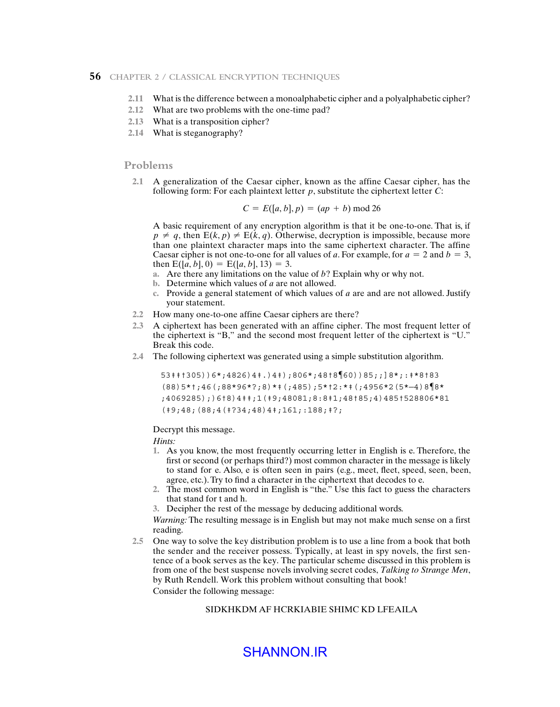- **2.11** What is the difference between a monoalphabetic cipher and a polyalphabetic cipher?
- **2.12** What are two problems with the one-time pad?
- **2.13** What is a transposition cipher?
- **2.14** What is steganography?

#### **Problems**

**2.1** A generalization of the Caesar cipher, known as the affine Caesar cipher, has the following form: For each plaintext letter *p*, substitute the ciphertext letter *C*:

$$
C = E([a, b], p) = (ap + b) \mod 26
$$

A basic requirement of any encryption algorithm is that it be one-to-one. That is, if  $p \neq q$ , then  $E(k, p) \neq E(k, q)$ . Otherwise, decryption is impossible, because more than one plaintext character maps into the same ciphertext character. The affine Caesar cipher is not one-to-one for all values of *a*. For example, for  $a = 2$  and  $b = 3$ , then  $E([a, b], 0) = E([a, b], 13) = 3.$ 

- **a.** Are there any limitations on the value of *b*? Explain why or why not.
- **b.** Determine which values of *a* are not allowed.
- **c.** Provide a general statement of which values of *a* are and are not allowed. Justify your statement.
- **2.2** How many one-to-one affine Caesar ciphers are there?
- **2.3** A ciphertext has been generated with an affine cipher. The most frequent letter of the ciphertext is "B," and the second most frequent letter of the ciphertext is "U." Break this code.
- **2.4** The following ciphertext was generated using a simple substitution algorithm.

53‡‡†305))6\*;4826)4‡.)4‡);806\*;48†8¶60))85;;]8\*;:‡\*8†83 (88)5\*†;46(;88\*96\*?;8)\*‡(;485);5\*†2:\*‡(;4956\*2(5\*—4)8¶8\* ;4069285);)6†8)4‡‡;1(‡9;48081;8:8‡1;48†85;4)485†528806\*81 (‡9;48;(88;4(‡?34;48)4‡;161;:188;‡?;

#### Decrypt this message.

*Hints:*

- **1.** As you know, the most frequently occurring letter in English is e. Therefore, the first or second (or perhaps third?) most common character in the message is likely to stand for e. Also, e is often seen in pairs (e.g., meet, fleet, speed, seen, been, agree, etc.). Try to find a character in the ciphertext that decodes to e.
- **2.** The most common word in English is "the." Use this fact to guess the characters that stand for t and h.
- **3.** Decipher the rest of the message by deducing additional words.

*Warning:* The resulting message is in English but may not make much sense on a first reading.

**2.5** One way to solve the key distribution problem is to use a line from a book that both the sender and the receiver possess. Typically, at least in spy novels, the first sentence of a book serves as the key. The particular scheme discussed in this problem is from one of the best suspense novels involving secret codes, *Talking to Strange Men*, by Ruth Rendell. Work this problem without consulting that book!

Consider the following message:

#### SIDKHKDM AF HCRKIABIE SHIMC KD LFEAILA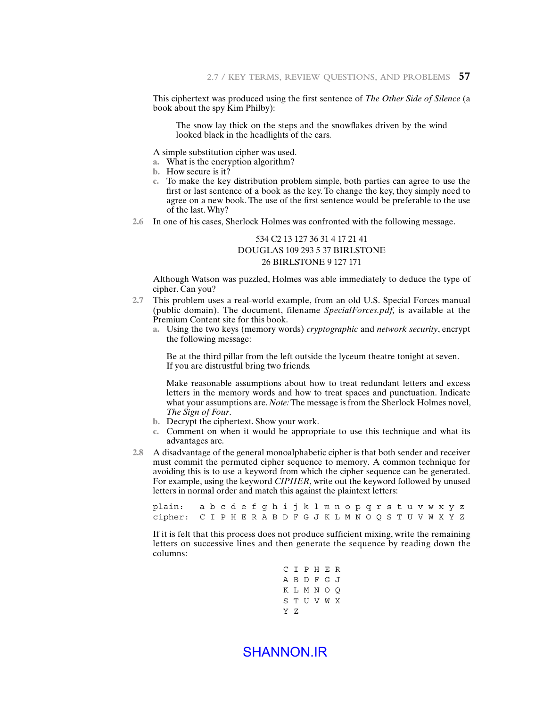This ciphertext was produced using the first sentence of *The Other Side of Silence* (a book about the spy Kim Philby):

The snow lay thick on the steps and the snowflakes driven by the wind looked black in the headlights of the cars.

A simple substitution cipher was used.

**a.** What is the encryption algorithm?

- **b.** How secure is it?
- **c.** To make the key distribution problem simple, both parties can agree to use the first or last sentence of a book as the key. To change the key, they simply need to agree on a new book. The use of the first sentence would be preferable to the use of the last. Why?
- **2.6** In one of his cases, Sherlock Holmes was confronted with the following message.

#### 534 C2 13 127 36 31 4 17 21 41 DOUGLAS 109 293 5 37 BIRLSTONE 26 BIRLSTONE 9 127 171

Although Watson was puzzled, Holmes was able immediately to deduce the type of cipher. Can you?

- **2.7** This problem uses a real-world example, from an old U.S. Special Forces manual (public domain). The document, filename *SpecialForces.pdf,* is available at the Premium Content site for this book.
	- **a.** Using the two keys (memory words) *cryptographic* and *network security*, encrypt the following message:

Be at the third pillar from the left outside the lyceum theatre tonight at seven. If you are distrustful bring two friends.

Make reasonable assumptions about how to treat redundant letters and excess letters in the memory words and how to treat spaces and punctuation. Indicate what your assumptions are. *Note:* The message is from the Sherlock Holmes novel, *The Sign of Four*.

- **b.** Decrypt the ciphertext. Show your work.
- **c.** Comment on when it would be appropriate to use this technique and what its advantages are.
- **2.8** A disadvantage of the general monoalphabetic cipher is that both sender and receiver must commit the permuted cipher sequence to memory. A common technique for avoiding this is to use a keyword from which the cipher sequence can be generated. For example, using the keyword *CIPHER*, write out the keyword followed by unused letters in normal order and match this against the plaintext letters:

plain: a b c d e f g h i j k l m n o p q r s t u v w x y z cipher: C I P H E R A B D F G J K L M N O Q S T U V W X Y Z

If it is felt that this process does not produce sufficient mixing, write the remaining letters on successive lines and then generate the sequence by reading down the columns:

> C I P H E R A B D F G J K L M N O Q S T U V W X Y Z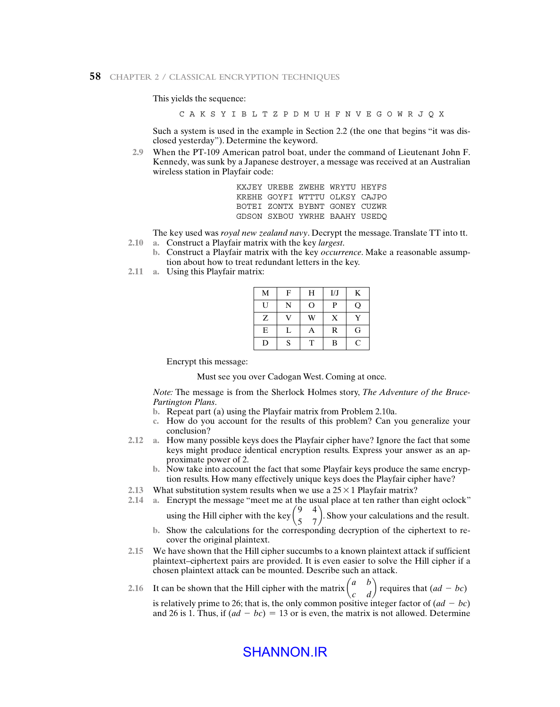This yields the sequence:

C A K S Y I B L T Z P D M U H F N V E G O W R J Q X

Such a system is used in the example in Section 2.2 (the one that begins "it was disclosed yesterday"). Determine the keyword.

**2.9** When the PT-109 American patrol boat, under the command of Lieutenant John F. Kennedy, was sunk by a Japanese destroyer, a message was received at an Australian wireless station in Playfair code:

> KXJEY UREBE ZWEHE WRYTU HEYFS KREHE GOYFI WTTTU OLKSY CAJPO BOTEI ZONTX BYBNT GONEY CUZWR GDSON SXBOU YWRHE BAAHY USEDQ

The key used was *royal new zealand navy*. Decrypt the message. Translate TT into tt.

- **2.10 a.** Construct a Playfair matrix with the key *largest*.
	- **b.** Construct a Playfair matrix with the key *occurrence*. Make a reasonable assumption about how to treat redundant letters in the key.
- **2.11 a.** Using this Playfair matrix:

| M | F              | Η | I/J          | K            |
|---|----------------|---|--------------|--------------|
| U | N              | О | P            | Q            |
| Ζ | $\overline{V}$ | W | X            | v            |
| E | L              | A | $\mathbb{R}$ | G            |
| D | S              | T | B            | $\mathsf{C}$ |

Encrypt this message:

Must see you over Cadogan West. Coming at once.

*Note:* The message is from the Sherlock Holmes story, *The Adventure of the Bruce-Partington Plans*.

- **b.** Repeat part (a) using the Playfair matrix from Problem 2.10a.
- **c.** How do you account for the results of this problem? Can you generalize your conclusion?
- **2.12 a.** How many possible keys does the Playfair cipher have? Ignore the fact that some keys might produce identical encryption results. Express your answer as an approximate power of 2.
	- **b.** Now take into account the fact that some Playfair keys produce the same encryption results. How many effectively unique keys does the Playfair cipher have?
- 2.13 What substitution system results when we use a  $25 \times 1$  Playfair matrix?
- **2.14 a.** Encrypt the message "meet me at the usual place at ten rather than eight oclock"

using the Hill cipher with the key  $\begin{pmatrix} 9 & 4 \\ 5 & 7 \end{pmatrix}$ . Show your calculations and the result.

- **b.** Show the calculations for the corresponding decryption of the ciphertext to recover the original plaintext.
- **2.15** We have shown that the Hill cipher succumbs to a known plaintext attack if sufficient plaintext–ciphertext pairs are provided. It is even easier to solve the Hill cipher if a chosen plaintext attack can be mounted. Describe such an attack.

2.16 It can be shown that the Hill cipher with the matrix  $\begin{pmatrix} a & b \\ c & d \end{pmatrix}$  requires that  $(ad - bc)$ is relatively prime to 26; that is, the only common positive integer factor of  $(ad - bc)$ and 26 is 1. Thus, if  $(ad - bc) = 13$  or is even, the matrix is not allowed. Determine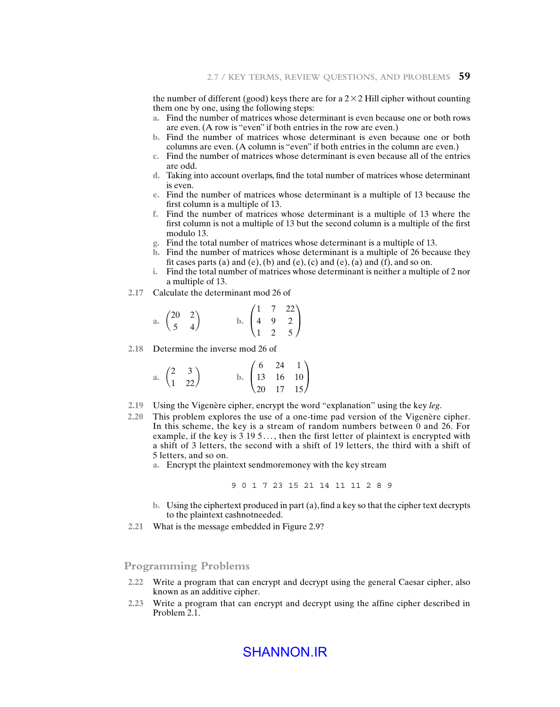the number of different (good) keys there are for a  $2 \times 2$  Hill cipher without counting them one by one, using the following steps:

- **a.** Find the number of matrices whose determinant is even because one or both rows are even. (A row is "even" if both entries in the row are even.)
- **b.** Find the number of matrices whose determinant is even because one or both columns are even. (A column is "even" if both entries in the column are even.)
- **c.** Find the number of matrices whose determinant is even because all of the entries are odd.
- **d.** Taking into account overlaps, find the total number of matrices whose determinant is even.
- **e.** Find the number of matrices whose determinant is a multiple of 13 because the first column is a multiple of 13.
- **f.** Find the number of matrices whose determinant is a multiple of 13 where the first column is not a multiple of 13 but the second column is a multiple of the first modulo 13.
- **g.** Find the total number of matrices whose determinant is a multiple of 13.
- **h.** Find the number of matrices whose determinant is a multiple of 26 because they fit cases parts (a) and (e), (b) and (e), (c) and (e), (a) and (f), and so on.
- **i.** Find the total number of matrices whose determinant is neither a multiple of 2 nor a multiple of 13.
- **2.17** Calculate the determinant mod 26 of

a. 
$$
\begin{pmatrix} 20 & 2 \\ 5 & 4 \end{pmatrix}
$$
 b.  $\begin{pmatrix} 1 & 7 & 22 \\ 4 & 9 & 2 \\ 1 & 2 & 5 \end{pmatrix}$ 

**2.18** Determine the inverse mod 26 of

a. 
$$
\begin{pmatrix} 2 & 3 \\ 1 & 22 \end{pmatrix}
$$
 b.  $\begin{pmatrix} 6 & 24 & 1 \\ 13 & 16 & 10 \\ 20 & 17 & 15 \end{pmatrix}$ 

**2.19** Using the Vigenère cipher, encrypt the word "explanation" using the key *leg*.

 $1 - 2 - 22$ 

- **2.20** This problem explores the use of a one-time pad version of the Vigenère cipher. In this scheme, the key is a stream of random numbers between 0 and 26. For example, if the key is  $3\overline{19\overline{5}}...$ , then the first letter of plaintext is encrypted with a shift of 3 letters, the second with a shift of 19 letters, the third with a shift of 5 letters, and so on.
	- **a.** Encrypt the plaintext sendmoremoney with the key stream

9 0 1 7 23 15 21 14 11 11 2 8 9

- **b.** Using the ciphertext produced in part (a), find a key so that the cipher text decrypts to the plaintext cashnotneeded.
- **2.21** What is the message embedded in Figure 2.9?

#### **Programming Problems**

- **2.22** Write a program that can encrypt and decrypt using the general Caesar cipher, also known as an additive cipher.
- **2.23** Write a program that can encrypt and decrypt using the affine cipher described in Problem 2.1.